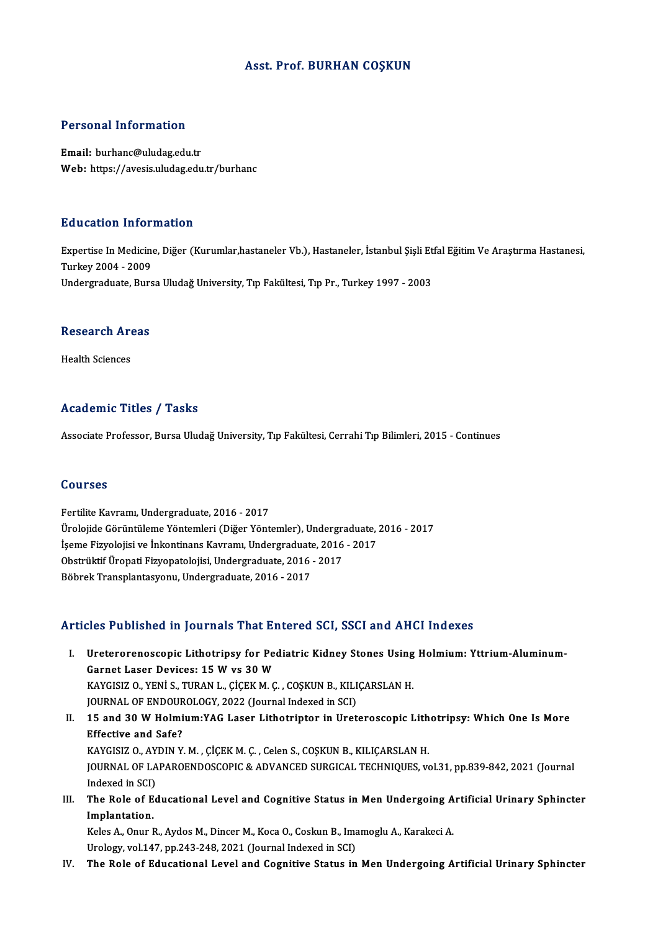#### Asst. Prof. BURHAN COŞKUN

#### Personal Information

Email: burhanc@uludag.edu.tr Web: https://avesis.uludag.edu.tr/burhanc

#### Education Information

**Education Information**<br>Expertise In Medicine, Diğer (Kurumlar,hastaneler Vb.), Hastaneler, İstanbul Şişli Etfal Eğitim Ve Araştırma Hastanesi,<br>Turkay 2004, ...2009 Expertise In Medicine<br>Turkey 2004 - 2009<br>Undergraduate Burg Turkey 2004 - 2009<br>Undergraduate, Bursa Uludağ University, Tıp Fakültesi, Tıp Pr., Turkey 1997 - 2003

## ondergraduate, Burs<br>Research Areas R<mark>esearch Ar</mark><br>Health Sciences

# Academic Titles / Tasks

Associate Professor, Bursa Uludağ University, Tıp Fakültesi, Cerrahi Tıp Bilimleri, 2015 - Continues

#### Courses

Fertilite Kavramı, Undergraduate, 2016 - 2017 UURITUU<br>Fertilite Kavramı, Undergraduate, 2016 - 2017<br>Ürolojide Görüntüleme Yöntemleri (Diğer Yöntemler), Undergraduate, 2016 - 2017<br>İsama Eiruslajisi ve İnkantinans Kayramı, Undergraduata, 2016 - 2017 Fertilite Kavramı, Undergraduate, 2016 - 2017<br>Ürolojide Görüntüleme Yöntemleri (Diğer Yöntemler), Undergraduate,<br>İşeme Fizyolojisi ve İnkontinans Kavramı, Undergraduate, 2016 - 2017<br>Obstrültif Üreneti Fizyonatelejisi Under Ürolojide Görüntüleme Yöntemleri (Diğer Yöntemler), Undergraduate, 2016<br>İşeme Fizyolojisi ve İnkontinans Kavramı, Undergraduate, 2016<br>Obstrüktif Üropati Fizyopatolojisi, Undergraduate, 2016 - 2017<br>Böhnek Transplantasyonu, İşeme Fizyolojisi ve İnkontinans Kavramı, Undergraduate, 2016 - 2017<br>Obstrüktif Üropati Fizyopatolojisi, Undergraduate, 2016 - 2017<br>Böbrek Transplantasyonu, Undergraduate, 2016 - 2017

#### Articles Published in Journals That Entered SCI, SSCI and AHCI Indexes

- rticles Published in Journals That Entered SCI, SSCI and AHCI Indexes<br>I. Ureterorenoscopic Lithotripsy for Pediatric Kidney Stones Using Holmium: Yttrium-Aluminum-Garnet Laser Devices: 15 W vs 30 W<br>Garnet Laser Devices: 15 W vs 30 W<br>WAVCISIZ O VENIS TUPANT CICEW M.C Ureterorenoscopic Lithotripsy for Pediatric Kidney Stones Using<br>Garnet Laser Devices: 15 W vs 30 W<br>KAYGISIZ O., YENİ S., TURAN L., ÇİÇEK M. Ç., COŞKUN B., KILIÇARSLAN H.<br>JOUPMAL OE ENDOUPOLOCY, 2022 (Journal Indoved in SCL Garnet Laser Devices: 15 W vs 30 W<br>KAYGISIZ 0., YENİ S., TURAN L., ÇİÇEK M. Ç. , COŞKUN B., KILIÇARSLAN H.<br>JOURNAL OF ENDOUROLOGY, 2022 (Journal Indexed in SCI) KAYGISIZ 0., YENİ S., TURAN L., ÇİÇEK M. Ç. , COŞKUN B., KILIÇARSLAN H.<br>JOURNAL OF ENDOUROLOGY, 2022 (Journal Indexed in SCI)<br>II. 15 and 30 W Holmium:YAG Laser Lithotriptor in Ureteroscopic Lithotripsy: Which One Is More<br>E
- JOURNAL OF ENDOUR<br>15 and 30 W Holmi<br>Effective and Safe?<br>KAVCISIZ O AVDIN V 15 and 30 W Holmium:YAG Laser Lithotriptor in Ureteroscopic Lith<br>Effective and Safe?<br>KAYGISIZ O., AYDIN Y. M. , ÇİÇEK M. Ç. , Celen S., COŞKUN B., KILIÇARSLAN H.<br>JOUPMAL OE LABAROENDOSCOPIC & ADVANCED SURCICAL TECHNIQUES v Effective and Safe?<br>KAYGISIZ O., AYDIN Y. M. , ÇİÇEK M. Ç. , Celen S., COŞKUN B., KILIÇARSLAN H.<br>JOURNAL OF LAPAROENDOSCOPIC & ADVANCED SURGICAL TECHNIQUES, vol.31, pp.839-842, 2021 (Journal KAYGISIZ O., AY<br>JOURNAL OF LA<br>Indexed in SCI)<br>The Pole of Es JOURNAL OF LAPAROENDOSCOPIC & ADVANCED SURGICAL TECHNIQUES, vol.31, pp.839-842, 2021 (Journal Indexed in SCI)<br>III. The Role of Educational Level and Cognitive Status in Men Undergoing Artificial Urinary Sphincter<br>Implemati
- Indexed in SCI)<br>The Role of E<br>Implantation.<br>Keles A. Opur I The Role of Educational Level and Cognitive Status in Men Undergoing A<br>Implantation.<br>Keles A., Onur R., Aydos M., Dincer M., Koca O., Coskun B., Imamoglu A., Karakeci A.<br>Unalagy vol.147, np.242, 248, 2021 (Journal Indoved

Implantation.<br>Keles A., Onur R., Aydos M., Dincer M., Koca O., Coskun B., Imamoglu A., Karakeci A.<br>Urology, vol.147, pp.243-248, 2021 (Journal Indexed in SCI)

IV. The Role of Educational Level and Cognitive Status in Men Undergoing Artificial Urinary Sphincter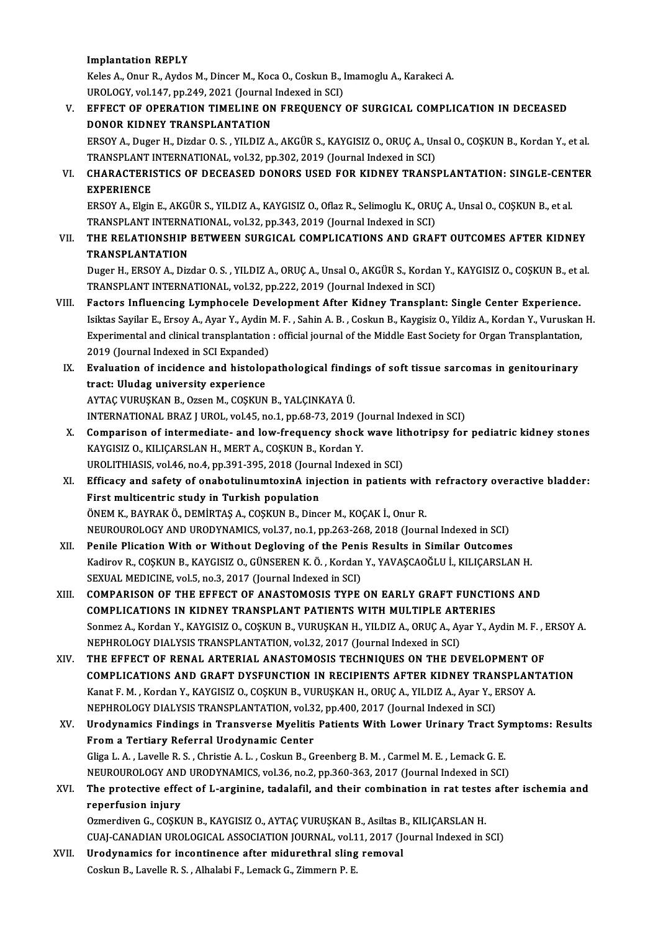#### Implantation REPLY

I<mark>mplantation REPLY</mark><br>Keles A., Onur R., Aydos M., Dincer M., Koca O., Coskun B., Imamoglu A., Karakeci A.<br>UPOLOGY, VR.147, np.349, 3931 (Jaurnal Indoved in SCI) I<mark>mplantation REPLY</mark><br>Keles A., Onur R., Aydos M., Dincer M., Koca O., Coskun B., I<br>UROLOGY, vol.147, pp.249, 2021 (Journal Indexed in SCI)<br>EEEECT OF OPERATION TIMELINE ON EPEQUENCY

### Keles A., Onur R., Aydos M., Dincer M., Koca O., Coskun B., Imamoglu A., Karakeci A.<br>UROLOGY, vol.147, pp.249, 2021 (Journal Indexed in SCI)<br>V. EFFECT OF OPERATION TIMELINE ON FREQUENCY OF SURGICAL COMPLICATION IN DECEASED UROLOGY, vol.147, pp.249, 2021 (Journal<br>EFFECT OF OPERATION TIMELINE ON<br>DONOR KIDNEY TRANSPLANTATION<br>EPSOV A Duger H Digder O.S - VILDIZ A EFFECT OF OPERATION TIMELINE ON FREQUENCY OF SURGICAL COMPLICATION IN DECEASED<br>DONOR KIDNEY TRANSPLANTATION<br>ERSOY A., Duger H., Dizdar O. S. , YILDIZ A., AKGÜR S., KAYGISIZ O., ORUÇ A., Unsal O., COŞKUN B., Kordan Y., et a

DONOR KIDNEY TRANSPLANTATION<br>ERSOY A., Duger H., Dizdar O. S. , YILDIZ A., AKGÜR S., KAYGISIZ O., ORUÇ A., Un<br>TRANSPLANT INTERNATIONAL, vol.32, pp.302, 2019 (Journal Indexed in SCI)<br>CHARACTERISTICS OF DECEASED DONORS USED ERSOY A., Duger H., Dizdar O. S. , YILDIZ A., AKGÜR S., KAYGISIZ O., ORUÇ A., Unsal O., COŞKUN B., Kordan Y., et al.<br>TRANSPLANT INTERNATIONAL, vol.32, pp.302, 2019 (Journal Indexed in SCI)<br>VI. CHARACTERISTICS OF DECEASED D

TRANSPLANT INTERNATIONAL, vol.32, pp.302, 2019 (Journal Indexed in SCI)<br>VI. CHARACTERISTICS OF DECEASED DONORS USED FOR KIDNEY TRANSPLANTATION: SINGLE-CENTER<br>EXPERIENCE CHARACTERISTICS OF DECEASED DONORS USED FOR KIDNEY TRANSPLANTATION: SINGLE-CEN'<br>EXPERIENCE<br>ERSOY A., Elgin E., AKGÜR S., YILDIZ A., KAYGISIZ O., Oflaz R., Selimoglu K., ORUÇ A., Unsal O., COŞKUN B., et al.<br>TRANSPLAN'T INTE

EXPERIENCE<br>ERSOY A., Elgin E., AKGÜR S., YILDIZ A., KAYGISIZ O., Oflaz R., Selimoglu K., ORU<br>TRANSPLANT INTERNATIONAL, vol.32, pp.343, 2019 (Journal Indexed in SCI)<br>THE REL ATIONSHIR RETWEEN SURGICAL COMPLICATIONS AND CRAE ERSOY A., Elgin E., AKGÜR S., YILDIZ A., KAYGISIZ O., Oflaz R., Selimoglu K., ORUÇ A., Unsal O., COŞKUN B., et al.<br>TRANSPLANT INTERNATIONAL, vol.32, pp.343, 2019 (Journal Indexed in SCI)<br>VII. THE RELATIONSHIP BETWEEN SURGI

TRANSPLANT INTERNATIONAL, vol.32, pp.343, 2019 (Journal Indexed in SCI)<br>THE RELATIONSHIP BETWEEN SURGICAL COMPLICATIONS AND GRAFT OUTCOMES AFTER KIDNEY<br>TRANSPLANTATION THE RELATIONSHIP BETWEEN SURGICAL COMPLICATIONS AND GRAFT OUTCOMES AFTER KIDNEY<br>TRANSPLANTATION<br>Duger H., ERSOY A., Dizdar O. S. , YILDIZ A., ORUÇ A., Unsal O., AKGÜR S., Kordan Y., KAYGISIZ O., COŞKUN B., et al.<br>TRANSPLAN

TRANSPLANTATION<br>Duger H., ERSOY A., Dizdar O. S. , YILDIZ A., ORUÇ A., Unsal O., AKGÜR S., Kordal<br>TRANSPLANT INTERNATIONAL, vol.32, pp.222, 2019 (Journal Indexed in SCI)<br>Festars Influensing Lymphaesele Development After Ki Duger H., ERSOY A., Dizdar O. S., YILDIZ A., ORUÇ A., Unsal O., AKGÜR S., Kordan Y., KAYGISIZ O., COŞKUN B., eta<br>TRANSPLANT INTERNATIONAL, vol.32, pp.222, 2019 (Journal Indexed in SCI)<br>VIII. Factors Influencing Lymphocele

- TRANSPLANT INTERNATIONAL, vol.32, pp.222, 2019 (Journal Indexed in SCI)<br>Factors Influencing Lymphocele Development After Kidney Transplant: Single Center Experience.<br>Isiktas Sayilar E., Ersoy A., Ayar Y., Aydin M. F. , Sah Factors Influencing Lymphocele Development After Kidney Transplant: Single Center Experience.<br>Isiktas Sayilar E., Ersoy A., Ayar Y., Aydin M. F. , Sahin A. B. , Coskun B., Kaygisiz O., Yildiz A., Kordan Y., Vuruskan<br>Experi Isiktas Sayilar E., Ersoy A., Ayar Y., Aydin I<br>Experimental and clinical transplantation<br>2019 (Journal Indexed in SCI Expanded)<br>Evaluation of insidence and bistalen Experimental and clinical transplantation : official journal of the Middle East Society for Organ Transplantation,<br>2019 (Journal Indexed in SCI Expanded)<br>IX. Evaluation of incidence and histolopathological findings of soft
- 2019 (Journal Indexed in SCI Expanded)<br>Evaluation of incidence and histolo<sub>l</sub><br>tract: Uludag university experience<br>AXTAC VURUSKAN B. OTSON A COSKUN Evaluation of incidence and histolopathological finding<br>tract: Uludag university experience<br>AYTAÇ VURUŞKAN B., Ozsen M., COŞKUN B., YALÇINKAYA Ü.<br>INTERNATIONAL PRAZ LUROL vol.45, no.1, np.68,72, 2019. tract: Uludag university experience<br>AYTAÇ VURUŞKAN B., Ozsen M., COŞKUN B., YALÇINKAYA Ü.<br>INTERNATIONAL BRAZ J UROL, vol.45, no.1, pp.68-73, 2019 (Journal Indexed in SCI)

- AYTAÇ VURUŞKAN B., Ozsen M., COŞKUN B., YALÇINKAYA Ü.<br>INTERNATIONAL BRAZ J UROL, vol.45, no.1, pp.68-73, 2019 (Journal Indexed in SCI)<br>X. Comparison of intermediate- and low-frequency shock wave lithotripsy for pediatr INTERNATIONAL BRAZ J UROL, vol.45, no.1, pp.68-73, 2019 (J<br>Comparison of intermediate- and low-frequency shock<br>KAYGISIZ O., KILIÇARSLAN H., MERT A., COŞKUN B., Kordan Y.<br>UPOLITHIASIS .vol.46, no.4, nn.291, 295, 2018 (Journ Comparison of intermediate- and low-frequency shock wave lit<br>KAYGISIZ O., KILIÇARSLAN H., MERT A., COŞKUN B., Kordan Y.<br>UROLITHIASIS, vol.46, no.4, pp.391-395, 2018 (Journal Indexed in SCI)<br>Efficesy and sefety of onebetuli UROLITHIASIS, vol.46, no.4, pp.391-395, 2018 (Journal Indexed in SCI)
- KAYGISIZ O., KILIÇARSLAN H., MERT A., COŞKUN B., Kordan Y.<br>UROLITHIASIS, vol.46, no.4, pp.391-395, 2018 (Journal Indexed in SCI)<br>XI. Efficacy and safety of onabotulinumtoxinA injection in patients with refractory overactiv ÖNEM K., BAYRAK Ö., DEMİRTAŞ A., COŞKUN B., Dincer M., KOÇAK İ., Onur R. First multicentric study in Turkish population<br>ÖNEM K., BAYRAK Ö., DEMİRTAŞ A., COŞKUN B., Dincer M., KOÇAK İ., Onur R.<br>NEUROUROLOGY AND URODYNAMICS, vol.37, no.1, pp.263-268, 2018 (Journal Indexed in SCI)<br>Penila Plisation ÖNEM K., BAYRAK Ö., DEMIRTAŞ A., COŞKUN B., Dincer M., KOÇAK İ., Onur R.<br>NEUROUROLOGY AND URODYNAMICS, vol.37, no.1, pp.263-268, 2018 (Journal Indexed in SCI)<br>XII. Penile Plication With or Without Degloving of the Penis Re
- NEUROUROLOGY AND URODYNAMICS, vol.37, no.1, pp.263-268, 2018 (Journal Indexed in SCI)<br>Penile Plication With or Without Degloving of the Penis Results in Similar Outcomes<br>Kadirov R., COŞKUN B., KAYGISIZ O., GÜNSEREN K. Ö. , Penile Plication With or Without Degloving of the Peni<br>Kadirov R., COŞKUN B., KAYGISIZ O., GÜNSEREN K. Ö. , Kordan<br>SEXUAL MEDICINE, vol.5, no.3, 2017 (Journal Indexed in SCI)<br>COMBARISON OF THE EEEECT OF ANASTOMOSIS TYPE Kadirov R., COŞKUN B., KAYGISIZ O., GÜNSEREN K. Ö. , Kordan Y., YAVAŞCAOĞLU İ., KILIÇARSLAN H.<br>SEXUAL MEDICINE, vol.5, no.3, 2017 (Journal Indexed in SCI)<br>XIII. COMPARISON OF THE EFFECT OF ANASTOMOSIS TYPE ON EARLY GRA
- SEXUAL MEDICINE, vol.5, no.3, 2017 (Journal Indexed in SCI)<br>COMPARISON OF THE EFFECT OF ANASTOMOSIS TYPE ON EARLY GRAFT FUNCTIC<br>COMPLICATIONS IN KIDNEY TRANSPLANT PATIENTS WITH MULTIPLE ARTERIES<br>Sonmar A. Kordan V. KAYCISI XIII. COMPARISON OF THE EFFECT OF ANASTOMOSIS TYPE ON EARLY GRAFT FUNCTIONS AND<br>COMPLICATIONS IN KIDNEY TRANSPLANT PATIENTS WITH MULTIPLE ARTERIES<br>Sonmez A., Kordan Y., KAYGISIZ O., COŞKUN B., VURUŞKAN H., YILDIZ A., ORUÇ COMPLICATIONS IN KIDNEY TRANSPLANT PATIENTS WITH MULTIPLE ART<br>Sonmez A., Kordan Y., KAYGISIZ O., COŞKUN B., VURUŞKAN H., YILDIZ A., ORUÇ A., Ay<br>NEPHROLOGY DIALYSIS TRANSPLANTATION, vol.32, 2017 (Journal Indexed in SCI)<br>THE Sonmez A., Kordan Y., KAYGISIZ O., COŞKUN B., VURUŞKAN H., YILDIZ A., ORUÇ A., Ayar Y., Aydin M. F., 1<br>NEPHROLOGY DIALYSIS TRANSPLANTATION, vol.32, 2017 (Journal Indexed in SCI)<br>XIV. THE EFFECT OF RENAL ARTERIAL ANASTOMOSI
- NEPHROLOGY DIALYSIS TRANSPLANTATION, vol.32, 2017 (Journal Indexed in SCI)<br>THE EFFECT OF RENAL ARTERIAL ANASTOMOSIS TECHNIQUES ON THE DEVELOPMENT OF<br>COMPLICATIONS AND GRAFT DYSFUNCTION IN RECIPIENTS AFTER KIDNEY TRANSPLANT THE EFFECT OF RENAL ARTERIAL ANASTOMOSIS TECHNIQUES ON THE DEVELOPMENT O<br>COMPLICATIONS AND GRAFT DYSFUNCTION IN RECIPIENTS AFTER KIDNEY TRANSPLAN<br>Kanat F. M. , Kordan Y., KAYGISIZ O., COŞKUN B., VURUŞKAN H., ORUÇ A., YILDI COMPLICATIONS AND GRAFT DYSFUNCTION IN RECIPIENTS AFTER KIDNEY TRAN<br>Kanat F. M. , Kordan Y., KAYGISIZ O., COŞKUN B., VURUŞKAN H., ORUÇ A., YILDIZ A., Ayar Y., F<br>NEPHROLOGY DIALYSIS TRANSPLANTATION, vol.32, pp.400, 2017 (Jo Kanat F. M. , Kordan Y., KAYGISIZ O., COŞKUN B., VURUŞKAN H., ORUÇ A., YILDIZ A., Ayar Y., ERSOY A.<br>NEPHROLOGY DIALYSIS TRANSPLANTATION, vol.32, pp.400, 2017 (Journal Indexed in SCI)<br>XV. Urodynamics Findings in Transverse
- NEPHROLOGY DIALYSIS TRANSPLANTATION, vol.3<br>Urodynamics Findings in Transverse Myelitis<br>From a Tertiary Referral Urodynamic Center<br>Cliga L.A., Lavella B.S., Christia A.J., Coslup B. G. Urodynamics Findings in Transverse Myelitis Patients With Lower Urinary Tract Sy<br>From a Tertiary Referral Urodynamic Center<br>Gliga L.A. , Lavelle R.S. , Christie A. L. , Coskun B., Greenberg B. M. , Carmel M. E. , Lemack G. From a Tertiary Referral Urodynamic Center<br>Gliga L. A. , Lavelle R. S. , Christie A. L. , Coskun B., Greenberg B. M. , Carmel M. E. , Lemack G. E.<br>NEUROUROLOGY AND URODYNAMICS, vol.36, no.2, pp.360-363, 2017 (Journal Index Gliga L. A. , Lavelle R. S. , Christie A. L. , Coskun B., Greenberg B. M. , Carmel M. E. , Lemack G. E.<br>NEUROUROLOGY AND URODYNAMICS, vol.36, no.2, pp.360-363, 2017 (Journal Indexed in SCI)<br>XVI. The protective effect of L-

### NEUROUROLOGY ANI<br>The protective effe<br>reperfusion injury<br>Ormordiven G-GOSVI Ozmerdiven G., COŞKUN B., KAYGISIZ O., AYTAÇ VURUŞKAN B., Asiltas B., KILIÇARSLAN H. reperfusion injury<br>Ozmerdiven G., COŞKUN B., KAYGISIZ O., AYTAÇ VURUŞKAN B., Asiltas B., KILIÇARSLAN H.<br>CUAJ-CANADIAN UROLOGICAL ASSOCIATION JOURNAL, vol.11, 2017 (Journal Indexed in SCI)<br>Unodunamise for insentinones after

XVII. Urodynamics for incontinence after midurethral sling removal<br>Coskun B., Lavelle R. S., Alhalabi F., Lemack G., Zimmern P. E. CUAJ-CANADIAN UROLOGICAL ASSOCIATION JOURNAL, vol.1<br>Urodynamics for incontinence after midurethral sling<br>Coskun B., Lavelle R. S. , Alhalabi F., Lemack G., Zimmern P. E.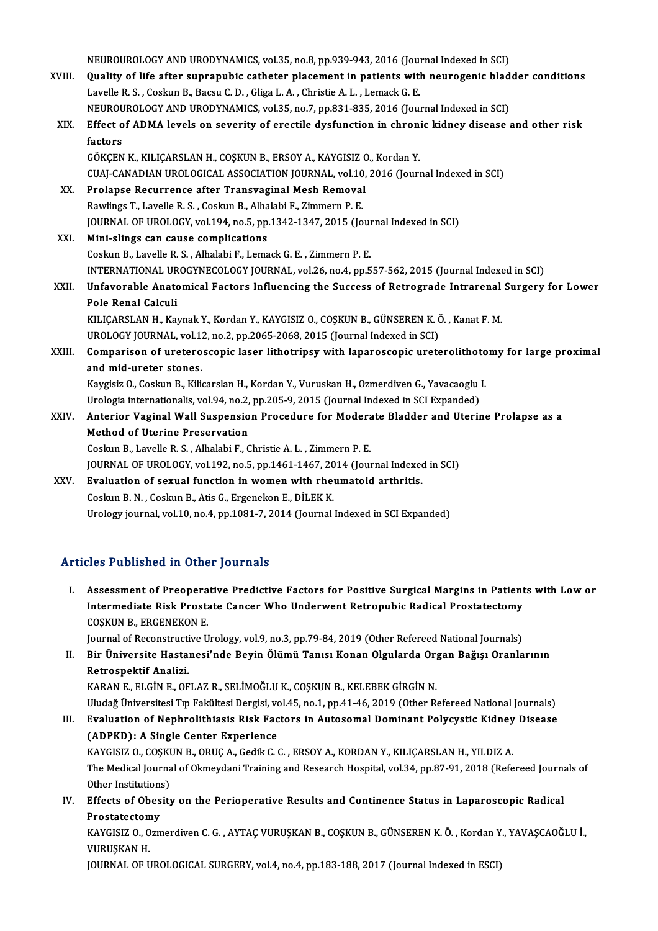|        | NEUROUROLOGY AND URODYNAMICS, vol.35, no.8, pp.939-943, 2016 (Journal Indexed in SCI)               |
|--------|-----------------------------------------------------------------------------------------------------|
| XVIII. | Quality of life after suprapubic catheter placement in patients with neurogenic bladder conditions  |
|        | Lavelle R. S., Coskun B., Bacsu C. D., Gliga L. A., Christie A. L., Lemack G. E.                    |
|        | NEUROUROLOGY AND URODYNAMICS, vol.35, no.7, pp.831-835, 2016 (Journal Indexed in SCI)               |
| XIX.   | Effect of ADMA levels on severity of erectile dysfunction in chronic kidney disease and other risk  |
|        | factors                                                                                             |
|        | GÖKÇEN K., KILIÇARSLAN H., COŞKUN B., ERSOY A., KAYGISIZ O., Kordan Y.                              |
|        | CUAJ-CANADIAN UROLOGICAL ASSOCIATION JOURNAL, vol.10, 2016 (Journal Indexed in SCI)                 |
| XX.    | Prolapse Recurrence after Transvaginal Mesh Removal                                                 |
|        | Rawlings T., Lavelle R. S., Coskun B., Alhalabi F., Zimmern P. E.                                   |
|        | JOURNAL OF UROLOGY, vol.194, no.5, pp.1342-1347, 2015 (Journal Indexed in SCI)                      |
| XXI.   | Mini-slings can cause complications                                                                 |
|        | Coskun B., Lavelle R. S., Alhalabi F., Lemack G. E., Zimmern P. E.                                  |
|        | INTERNATIONAL UROGYNECOLOGY JOURNAL, vol.26, no.4, pp.557-562, 2015 (Journal Indexed in SCI)        |
| XXII.  | Unfavorable Anatomical Factors Influencing the Success of Retrograde Intrarenal Surgery for Lower   |
|        | Pole Renal Calculi                                                                                  |
|        | KILIÇARSLAN H., Kaynak Y., Kordan Y., KAYGISIZ O., COŞKUN B., GÜNSEREN K. Ö., Kanat F. M.           |
|        | UROLOGY JOURNAL, vol.12, no.2, pp.2065-2068, 2015 (Journal Indexed in SCI)                          |
| XXIII. | Comparison of ureteroscopic laser lithotripsy with laparoscopic ureterolithotomy for large proximal |
|        | and mid-ureter stones.                                                                              |
|        | Kaygisiz O., Coskun B., Kilicarslan H., Kordan Y., Vuruskan H., Ozmerdiven G., Yavacaoglu I.        |
|        | Urologia internationalis, vol.94, no.2, pp.205-9, 2015 (Journal Indexed in SCI Expanded)            |
| XXIV.  | Anterior Vaginal Wall Suspension Procedure for Moderate Bladder and Uterine Prolapse as a           |
|        | <b>Method of Uterine Preservation</b>                                                               |
|        | Coskun B., Lavelle R. S., Alhalabi F., Christie A. L., Zimmern P. E.                                |
|        | JOURNAL OF UROLOGY, vol.192, no.5, pp.1461-1467, 2014 (Journal Indexed in SCI)                      |
| XXV    | Evaluation of sexual function in women with rheumatoid arthritis.                                   |
|        | $C_{\Omega}$ glun D.N. $C_{\Omega}$ glun D. Atio C. Engenelron E. DİLEV V.                          |

CoskunB.N. ,CoskunB.,AtisG.,ErgenekonE.,DİLEKK. Urology journal, vol.10, no.4, pp.1081-7, 2014 (Journal Indexed in SCI Expanded)

#### Articles Published in Other Journals

rticles Published in Other Journals<br>I. Assessment of Preoperative Predictive Factors for Positive Surgical Margins in Patients with Low or<br>Intermediate Biek Prestate Cancer Who Underweat Petropubis Podical Prestatestamy Intermediate and Schor Journals<br>Assessment of Preoperative Predictive Factors for Positive Surgical Margins in Patient<br>Intermediate Risk Prostate Cancer Who Underwent Retropubic Radical Prostatectomy<br>COSVIM R. ERCENEVON E Assessment of Preopera<br>Intermediate Risk Prosta<br>COȘKUN B., ERGENEKON E.<br>Journal of Peconstructive II Intermediate Risk Prostate Cancer Who Underwent Retropubic Radical Prostatectomy<br>COSKUN B., ERGENEKON E.<br>Journal of Reconstructive Urology, vol.9, no.3, pp.79-84, 2019 (Other Refereed National Journals)

II. Bir Üniversite Hastanesi'nde Beyin Ölümü Tanısı Konan Olgularda Organ Bağışı Oranlarının Retrospektif Analizi. KARAN E., ELGİN E., OFLAZ R., SELİMOĞLU K., COŞKUN B., KELEBEK GİRGİN N.

Uludağ Üniversitesi Tıp Fakültesi Dergisi, vol.45, no.1, pp.41-46, 2019 (Other Refereed National Journals)

KARAN E., ELGİN E., OFLAZ R., SELİMOĞLU K., COŞKUN B., KELEBEK GİRGİN N.<br>Uludağ Üniversitesi Tıp Fakültesi Dergisi, vol.45, no.1, pp.41-46, 2019 (Other Refereed National Journals)<br>III. Evaluation of Nephrolithiasis Risk Fa Uludağ Üniversitesi Tıp Fakültesi Dergisi, vo<br>Evaluation of Nephrolithiasis Risk Fac<br>(ADPKD): A Single Center Experience<br>KAVCISIZ O COSKUN B. OBUC A Cedik C. Evaluation of Nephrolithiasis Risk Factors in Autosomal Dominant Polycystic Kidney<br>(ADPKD): A Single Center Experience<br>KAYGISIZ O., COŞKUN B., ORUÇ A., Gedik C. C. , ERSOY A., KORDAN Y., KILIÇARSLAN H., YILDIZ A.<br>The Media

(ADPKD): A Single Center Experience<br>KAYGISIZ O., COŞKUN B., ORUÇ A., Gedik C. C. , ERSOY A., KORDAN Y., KILIÇARSLAN H., YILDIZ A.<br>The Medical Journal of Okmeydani Training and Research Hospital, vol.34, pp.87-91, 2018 (Ref KAYGISIZ O., COȘKI<br>The Medical Journa<br>Other Institutions)<br>Effects of Obesity The Medical Journal of Okmeydani Training and Research Hospital, vol.34, pp.87-91, 2018 (Refereed Journal Other Institutions)<br>IV. Effects of Obesity on the Perioperative Results and Continence Status in Laparoscopic Radica

Other Institutions)<br>IV. Effects of Obesity on the Perioperative Results and Continence Status in Laparoscopic Radical<br>Prostatectomy Effects of Obesity on the Perioperative Results and Continence Status in Laparoscopic Radical<br>Prostatectomy<br>KAYGISIZ O., Ozmerdiven C. G. , AYTAÇ VURUŞKAN B., COŞKUN B., GÜNSEREN K. Ö. , Kordan Y., YAVAŞCAOĞLU İ.,<br>VURUSYAN

Prostatectom<br>KAYGISIZ 0., 0<br>VURUŞKAN H.<br>JOUPNAL OF U KAYGISIZ O., Ozmerdiven C. G. , AYTAÇ VURUŞKAN B., COŞKUN B., GÜNSEREN K. Ö. , Kordan Y<br>VURUŞKAN H.<br>JOURNAL OF UROLOGICAL SURGERY, vol.4, no.4, pp.183-188, 2017 (Journal Indexed in ESCI)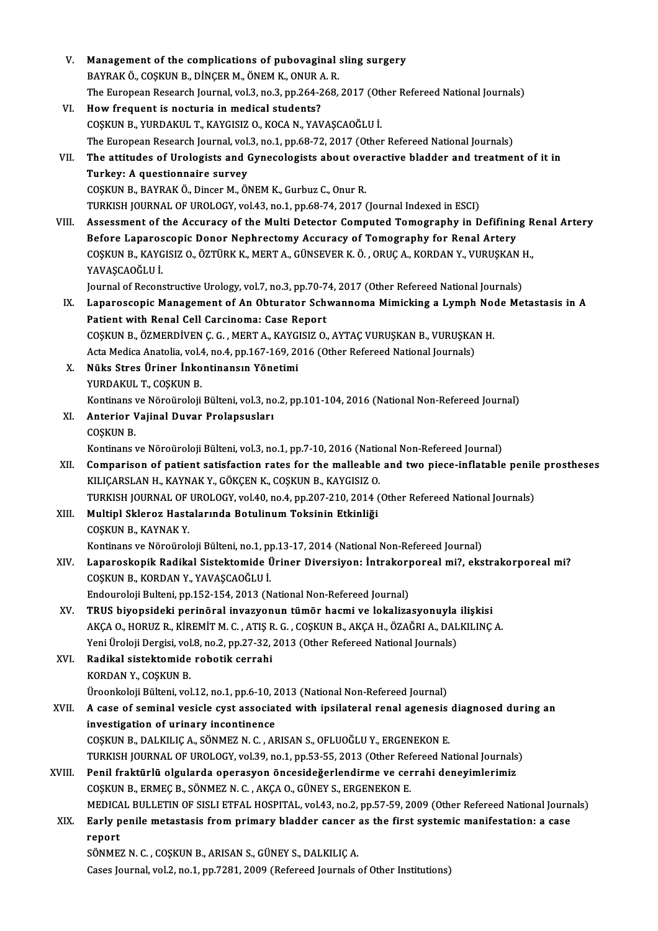| V.     | Management of the complications of pubovaginal sling surgery                                              |
|--------|-----------------------------------------------------------------------------------------------------------|
|        | BAYRAK Ö., COŞKUN B., DİNÇER M., ÖNEM K., ONUR A.R.                                                       |
|        | The European Research Journal, vol.3, no.3, pp.264-268, 2017 (Other Refereed National Journals)           |
| VI.    | How frequent is nocturia in medical students?                                                             |
|        | COŞKUN B., YURDAKUL T., KAYGISIZ O., KOCA N., YAVAŞCAOĞLU İ.                                              |
|        | The European Research Journal, vol.3, no.1, pp.68-72, 2017 (Other Refereed National Journals)             |
| VII.   | The attitudes of Urologists and Gynecologists about overactive bladder and treatment of it in             |
|        | Turkey: A questionnaire survey                                                                            |
|        | COȘKUN B., BAYRAK Ö., Dincer M., ÖNEM K., Gurbuz C., Onur R.                                              |
|        | TURKISH JOURNAL OF UROLOGY, vol.43, no.1, pp.68-74, 2017 (Journal Indexed in ESCI)                        |
| VIII.  | Assessment of the Accuracy of the Multi Detector Computed Tomography in Defifining Renal Artery           |
|        | Before Laparoscopic Donor Nephrectomy Accuracy of Tomography for Renal Artery                             |
|        | COSKUN B., KAYGISIZ O., ÖZTÜRK K., MERT A., GÜNSEVER K. Ö., ORUÇ A., KORDAN Y., VURUŞKAN H.,              |
|        | YAVAŞCAOĞLU İ.                                                                                            |
|        | Journal of Reconstructive Urology, vol.7, no.3, pp.70-74, 2017 (Other Refereed National Journals)         |
| IX.    | Laparoscopic Management of An Obturator Schwannoma Mimicking a Lymph Node Metastasis in A                 |
|        | Patient with Renal Cell Carcinoma: Case Report                                                            |
|        | COŞKUN B., ÖZMERDİVEN Ç. G., MERT A., KAYGISIZ O., AYTAÇ VURUŞKAN B., VURUŞKAN H.                         |
|        | Acta Medica Anatolia, vol.4, no.4, pp.167-169, 2016 (Other Refereed National Journals)                    |
| Х.     | Nüks Stres Üriner İnkontinansın Yönetimi                                                                  |
|        | YURDAKUL T., COŞKUN B.                                                                                    |
|        | Kontinans ve Nöroüroloji Bülteni, vol.3, no.2, pp.101-104, 2016 (National Non-Refereed Journal)           |
| XI.    | Anterior Vajinal Duvar Prolapsusları                                                                      |
|        | COȘKUN B.                                                                                                 |
|        | Kontinans ve Nöroüroloji Bülteni, vol.3, no.1, pp.7-10, 2016 (National Non-Refereed Journal)              |
| XII.   | Comparison of patient satisfaction rates for the malleable and two piece-inflatable penile prostheses     |
|        | KILIÇARSLAN H., KAYNAK Y., GÖKÇEN K., COŞKUN B., KAYGISIZ O.                                              |
|        | TURKISH JOURNAL OF UROLOGY, vol.40, no.4, pp.207-210, 2014 (Other Refereed National Journals)             |
| XIII.  | Multipl Skleroz Hastalarında Botulinum Toksinin Etkinliği                                                 |
|        | COSKUN B., KAYNAK Y.                                                                                      |
|        | Kontinans ve Nöroüroloji Bülteni, no.1, pp.13-17, 2014 (National Non-Refereed Journal)                    |
| XIV.   | Laparoskopik Radikal Sistektomide Üriner Diversiyon: İntrakorporeal mi?, ekstrakorporeal mi?              |
|        | COȘKUN B., KORDAN Y., YAVAȘCAOĞLU İ.                                                                      |
|        | Endouroloji Bulteni, pp.152-154, 2013 (National Non-Refereed Journal)                                     |
| XV.    | TRUS biyopsideki perinöral invazyonun tümör hacmi ve lokalizasyonuyla ilişkisi                            |
|        | AKÇA O., HORUZ R., KİREMİT M. C. , ATIŞ R. G. , COŞKUN B., AKÇA H., ÖZAĞRI A., DALKILINÇ A.               |
|        | Yeni Üroloji Dergisi, vol.8, no.2, pp.27-32, 2013 (Other Refereed National Journals)                      |
| XVI.   | Radikal sistektomide robotik cerrahi                                                                      |
|        | KORDAN Y., COŞKUN B.                                                                                      |
|        | Üroonkoloji Bülteni, vol.12, no.1, pp.6-10, 2013 (National Non-Refereed Journal)                          |
| XVII.  | A case of seminal vesicle cyst associated with ipsilateral renal agenesis diagnosed during an             |
|        | investigation of urinary incontinence                                                                     |
|        | COȘKUN B., DALKILIÇ A., SÖNMEZ N. C., ARISAN S., OFLUOĞLU Y., ERGENEKON E.                                |
|        | TURKISH JOURNAL OF UROLOGY, vol.39, no.1, pp.53-55, 2013 (Other Refereed National Journals)               |
| XVIII. | Penil fraktürlü olgularda operasyon öncesideğerlendirme ve cerrahi deneyimlerimiz                         |
|        | COSKUN B., ERMEÇ B., SÖNMEZ N. C., AKÇA O., GÜNEY S., ERGENEKON E.                                        |
|        | MEDICAL BULLETIN OF SISLI ETFAL HOSPITAL, vol.43, no.2, pp.57-59, 2009 (Other Refereed National Journals) |
| XIX.   | Early penile metastasis from primary bladder cancer as the first systemic manifestation: a case           |
|        | report                                                                                                    |
|        | SÖNMEZ N. C., COŞKUN B., ARISAN S., GÜNEY S., DALKILIÇ A.                                                 |
|        | Cases Journal, vol.2, no.1, pp.7281, 2009 (Refereed Journals of Other Institutions)                       |
|        |                                                                                                           |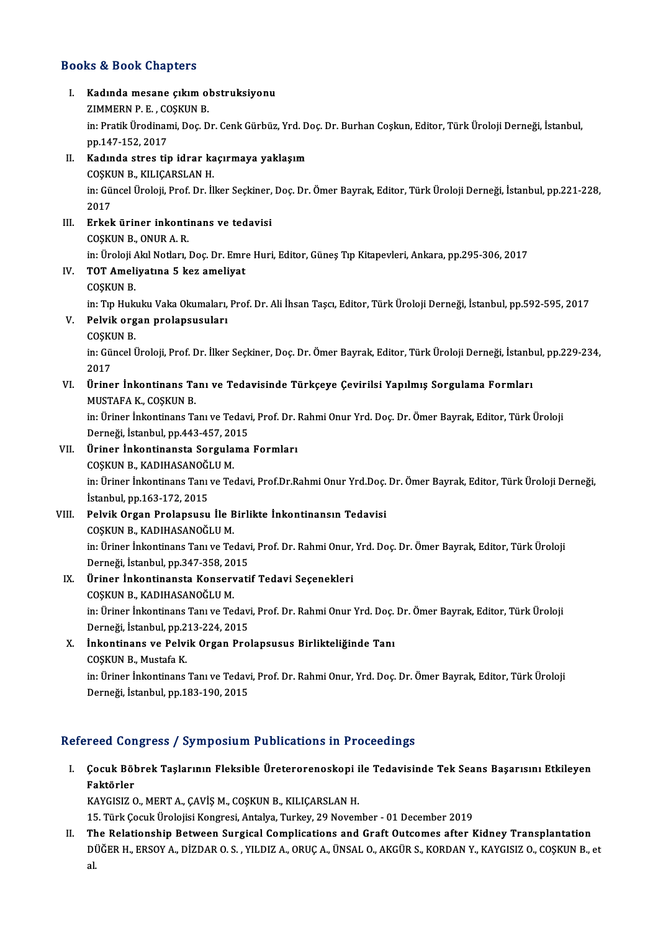#### Books&Book Chapters

OOks & Book Chapters<br>I. Kadında mesane çıkım obstruksiyonu<br>ZIMMERN B.E. COSKUN B x & Book dikapters<br>Kadında mesane çıkım ol<br>ZIMMERN P. E. , COŞKUN B.<br>in: Pretik Üradinami Des D Kadında mesane çıkım obstruksiyonu<br>ZIMMERN P. E. , COŞKUN B.<br>in: Pratik Ürodinami, Doç. Dr. Cenk Gürbüz, Yrd. Doç. Dr. Burhan Coşkun, Editor, Türk Üroloji Derneği, İstanbul,<br>pp.147.152. 2017 ZIMMERN P. E. , CC<br>in: Pratik Ürodinan<br>pp.147-152, 2017<br>Kodinde stres tij in: Pratik Ürodinami, Doç. Dr. Cenk Gürbüz, Yrd. D<br>pp.147-152, 2017<br>II. Kadında stres tip idrar kaçırmaya yaklaşım<br>COSYUN B. YU ICABSLAN H pp.147-152, 2017<br>II. Kadında stres tip idrar kaçırmaya yaklaşım in: Güncel Üroloji, Prof. Dr. İlker Seçkiner, Doç. Dr. Ömer Bayrak, Editor, Türk Üroloji Derneği, İstanbul, pp.221-228,<br>2017 COSKUN B., KILIÇARSLAN H. In: Güncel Üroloji, Prof. Dr. İlker Seçkiner,<br>2017<br>III. Erkek üriner inkontinans ve tedavisi 2017<br><mark>Erkek üriner inkonti</mark><br>COŞKUN B., ONUR A. R.<br>in Üreleji Akl Netler I COŞKUN B., ONUR A. R.<br>in: Üroloji Akıl Notları, Doç. Dr. Emre Huri, Editor, Güneş Tıp Kitapevleri, Ankara, pp.295-306, 2017 COŞKUN B., ONUR A. R.<br>in: Üroloji Akıl Notları, Doç. Dr. Emr<br>IV. TOT Ameliyatına 5 kez ameliyat<br>COSKUN B in: Üroloji *I*<br>TOT Ameli<br>COȘKUN B.<br>in: Tın Hulo COŞKUN B.<br>in: Tıp Hukuku Vaka Okumaları, Prof. Dr. Ali İhsan Taşcı, Editor, Türk Üroloji Derneği, İstanbul, pp.592-595, 2017 COŞKUN B.<br>in: Tıp Hukuku Vaka Okumaları,<br>V. Pelvik organ prolapsusuları<br>COSKUN P in: Tıp Huk<br><mark>Pelvik org</mark><br>COŞKUN B.<br>in: Güncel İ in: Güncel Üroloji, Prof. Dr. İlker Seçkiner, Doç. Dr. Ömer Bayrak, Editor, Türk Üroloji Derneği, İstanbul, pp.229-234,<br>2017 COSKUN B. in: Güncel Üroloji, Prof. Dr. İlker Seçkiner, Doç. Dr. Ömer Bayrak, Editor, Türk Üroloji Derneği, İstanb<br>2017<br>VI. Üriner İnkontinans Tanı ve Tedavisinde Türkçeye Çevirilsi Yapılmış Sorgulama Formları<br>MUSTAFA K. COSKUN B 2017<br>Üriner İnkontinans Ta<br>MUSTAFA K., COŞKUN B.<br>in: Üriner İnkontinans Ta Üriner İnkontinans Tanı ve Tedavisinde Türkçeye Çevirilsi Yapılmış Sorgulama Formları<br>MUSTAFA K., COŞKUN B.<br>in: Üriner İnkontinans Tanı ve Tedavi, Prof. Dr. Rahmi Onur Yrd. Doç. Dr. Ömer Bayrak, Editor, Türk Üroloji<br>Derneğ MUSTAFA K., COŞKUN B.<br>in: Üriner İnkontinans Tanı ve Tedav.<br>Derneği, İstanbul, pp.443-457, 2015<br>Üriner İnkontinansta Sarsulama in: Üriner İnkontinans Tanı ve Tedavi, Prof. Dr. I<br>Derneği, İstanbul, pp.443-457, 2015<br>VII. Üriner İnkontinansta Sorgulama Formları<br>COSKUN B. KADIHASANOČULM Derneği, İstanbul, pp.443-457, 20<br><mark>Üriner İnkontinansta Sorgula</mark><br>COŞKUN B., KADIHASANOĞLU M.<br>inı Üriner İnkontinans Tanı ve Te in: Üriner İnkontinans Tanı ve Tedavi, Prof.Dr.Rahmi Onur Yrd.Doç. Dr. Ömer Bayrak, Editor, Türk Üroloji Derneği,<br>İstanbul, pp.163-172, 2015 COSKUN B., KADIHASANOĞLU M. in: Üriner İnkontinans Tanı ve Tedavi, Prof.Dr.Rahmi Onur Yrd.Doç.<br>İstanbul, pp.163-172, 2015<br>VIII. Pelvik Organ Prolapsusu İle Birlikte İnkontinansın Tedavisi<br>COSKUN P. KADIHASANOĞLU M İstanbul, pp.163-172, 2015<br>Pelvik Organ Prolapsusu İle B<br>COŞKUN B., KADIHASANOĞLU M.<br>inı Üriner İnkantinans Tanı ve Te COŞKUN B., KADIHASANOĞLU M.<br>in: Üriner İnkontinans Tanı ve Tedavi, Prof. Dr. Rahmi Onur, Yrd. Doç. Dr. Ömer Bayrak, Editor, Türk Üroloji Derneği, İstanbul,pp.347-358,2015 in: Üriner İnkontinans Tanı ve Tedavi, Prof. Dr. Rahmi Onur,<br>Derneği, İstanbul, pp.347-358, 2015<br>IX. Üriner İnkontinansta Konservatif Tedavi Seçenekleri<br>COSKUN B. KADIHASANOČU M Derneği, İstanbul, pp.347-358, 20<br><mark>Üriner İnkontinansta Konserv</mark><br>COŞKUN B., KADIHASANOĞLU M.<br>inı Üriner İnkontinans Tanı ve Te Üriner İnkontinansta Konservatif Tedavi Seçenekleri<br>COŞKUN B., KADIHASANOĞLU M.<br>in: Üriner İnkontinans Tanı ve Tedavi, Prof. Dr. Rahmi Onur Yrd. Doç. Dr. Ömer Bayrak, Editor, Türk Üroloji<br>Derneği, İstanbul np.212,224, 2015 COŞKUN B., KADIHASANOĞLU M.<br>in: Üriner İnkontinans Tanı ve Tedav.<br>Derneği, İstanbul, pp.213-224, 2015<br>İnkontinans ve Bolyik Organ Bro. X. İnkontinans ve Pelvik Organ Prolapsusus Birlikteliğinde Tanı Derneği, İstanbul, pp.213-224, 2015

İnkontinans ve Pelvik Organ Prolapsusus Birlikteliğinde Tanı<br>COŞKUN B., Mustafa K.<br>in: Üriner İnkontinans Tanı ve Tedavi, Prof. Dr. Rahmi Onur, Yrd. Doç. Dr. Ömer Bayrak, Editor, Türk Üroloji<br>Derneği, İstanbul, pp.182.190. COȘKUN B., Mustafa K.<br>in: Üriner İnkontinans Tanı ve Tedav<br>Derneği, İstanbul, pp.183-190, 2015

## Derneği, İstanbul, pp.183-190, 2015<br>Refereed Congress / Symposium Publications in Proceedings

efereed Congress / Symposium Publications in Proceedings<br>I. Çocuk Böbrek Taşlarının Fleksible Üreterorenoskopi ile Tedavisinde Tek Seans Başarısını Etkileyen<br>Raktörler reed den<br>Çocuk Böl<br>Faktörler<br>KAVCISIZ C Çocuk Böbrek Taşlarının Fleksible Üreterorenoskopi i<br>Faktörler<br>KAYGISIZ O., MERT A., ÇAVİŞ M., COŞKUN B., KILIÇARSLAN H.<br>15. Türk Cosuk Ürelejisi Konstasi, Attalya Turkey, 29 Nevem Faktörler<br>KAYGISIZ O., MERT A., ÇAVİŞ M., COŞKUN B., KILIÇARSLAN H.<br>15. Türk Çocuk Ürolojisi Kongresi, Antalya, Turkey, 29 November - 01 December 2019

II. The Relationship Between Surgical Complications and Graft Outcomes after Kidney Transplantation DÜĞER H., ERSOY A., DİZDAR O. S. , YILDIZ A., ORUÇ A., ÜNSAL O., AKGÜR S., KORDAN Y., KAYGISIZ O., COŞKUN B., et<br>al. Tł<br>Di<br>al.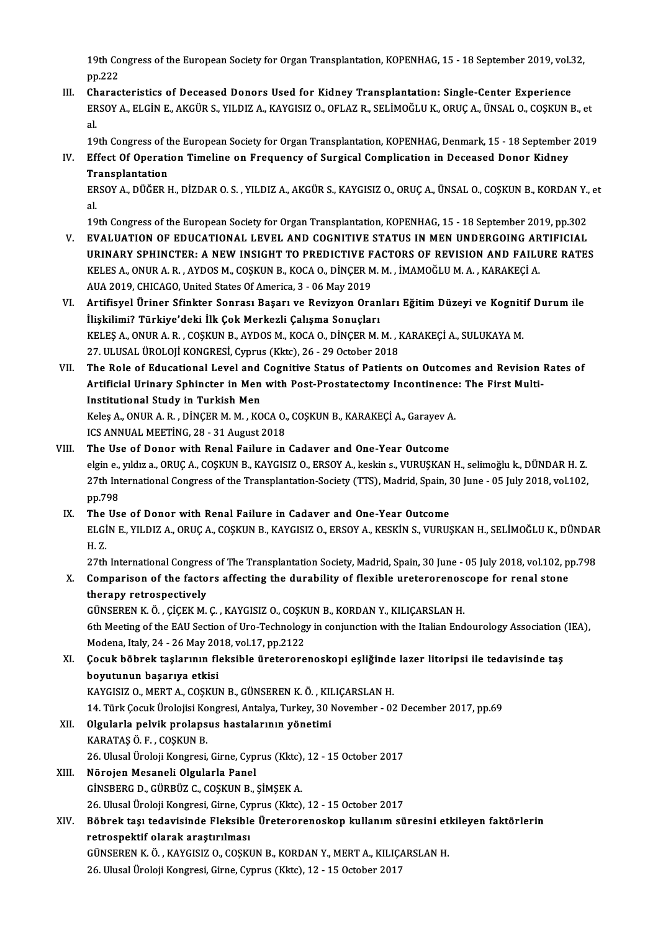19th Congress of the European Society for Organ Transplantation, KOPENHAG, 15 - 18 September 2019, vol.32,<br>nn <sup>222</sup> 19th Co<br>pp.222<br>Charac 19th Congress of the European Society for Organ Transplantation, KOPENHAG, 15 - 18 September 2019, vol.<br>III. Characteristics of Deceased Donors Used for Kidney Transplantation: Single-Center Experience<br>FRSOV A. ELGIN E. AK

pp.222<br>III. Characteristics of Deceased Donors Used for Kidney Transplantation: Single-Center Experience<br>ERSOY A., ELGİN E., AKGÜR S., YILDIZ A., KAYGISIZ O., OFLAZ R., SELİMOĞLU K., ORUÇ A., ÜNSAL O., COŞKUN B., et<br>al. Ch<br>ER<br>al.

19th Congress of the European Society for Organ Transplantation, KOPENHAG, Denmark, 15 - 18 September 2019

al.<br>19th Congress of the European Society for Organ Transplantation, KOPENHAG, Denmark, 15 - 18 September<br>IV. Effect Of Operation Timeline on Frequency of Surgical Complication in Deceased Donor Kidney<br>Transplantation **19th Congress of the**<br>**Effect Of Operatical**<br>**Transplantation** Effect Of Operation Timeline on Frequency of Surgical Complication in Deceased Donor Kidney<br>Transplantation<br>ERSOY A., DÜĞER H., DİZDAR O. S. , YILDIZ A., AKGÜR S., KAYGISIZ O., ORUÇ A., ÜNSAL O., COŞKUN B., KORDAN Y., et<br>a

Tr<br>ER<br>al. ERSOY A., DÜĞER H., DİZDAR O. S. , YILDIZ A., AKGÜR S., KAYGISIZ O., ORUÇ A., ÜNSAL O., COŞKUN B., KORDAN Y.,<br>al.<br>19th Congress of the European Society for Organ Transplantation, KOPENHAG, 15 - 18 September 2019, pp.302<br>EV

- al.<br>19th Congress of the European Society for Organ Transplantation, KOPENHAG, 15 18 September 2019, pp.302<br>V. EVALUATION OF EDUCATIONAL LEVEL AND COGNITIVE SACTORS OF REVISION AND FAILURE RATES 19th Congress of the European Society for Organ Transplantation, KOPENHAG, 15 - 18 September 2019, pp.302<br>EVALUATION OF EDUCATIONAL LEVEL AND COGNITIVE STATUS IN MEN UNDERGOING ARTIFICIAL<br>URINARY SPHINCTER: A NEW INSIGHT T EVALUATION OF EDUCATIONAL LEVEL AND COGNITIVE STATUS IN MEN UNDERGOING AR<br>URINARY SPHINCTER: A NEW INSIGHT TO PREDICTIVE FACTORS OF REVISION AND FAILL<br>KELES A., ONUR A. R. , AYDOS M., COŞKUN B., KOCA O., DİNÇER M. M. , İMA URINARY SPHINCTER: A NEW INSIGHT TO PREDICTIVE F<br>KELES A., ONUR A. R. , AYDOS M., COȘKUN B., KOCA O., DİNÇER M<br>AUA 2019, CHICAGO, United States Of America, 3 - 06 May 2019<br>Artificual Uninor Sfinkton Sonnacı Basanı ve Boyin KELES A., ONUR A. R. , AYDOS M., COŞKUN B., KOCA O., DİNÇER M. M. , İMAMOĞLU M. A. , KARAKEÇİ A.<br>AUA 2019, CHICAGO, United States Of America, 3 - 06 May 2019<br>VI. Artifisyel Üriner Sfinkter Sonrası Başarı ve Revizyon Oranla
- AUA 2019, CHICAGO, United States Of America, 3 06 May 2019<br>Artifisyel Üriner Sfinkter Sonrası Başarı ve Revizyon Oranları Eğitim Düzeyi ve Kogniti<br>İlişkilimi? Türkiye'deki İlk Çok Merkezli Çalışma Sonuçları<br>KELES A., ONU Artifisyel Üriner Sfinkter Sonrası Başarı ve Revizyon Oranları Eğitim Düzeyi ve Kogniti<br>İlişkilimi? Türkiye'deki İlk Çok Merkezli Çalışma Sonuçları<br>KELEŞ A., ONUR A. R. , COŞKUN B., AYDOS M., KOCA O., DİNÇER M. M. , KARAKE 27. ULUSAL ÜROLOJİ KONGRESİ, Cyprus (Kktc), 26 - 29 October 2018 KELEŞ A., ONUR A. R. , COŞKUN B., AYDOS M., KOCA O., DİNÇER M. M. , KARAKEÇİ A., SULUKAYA M.<br>27. ULUSAL ÜROLOJİ KONGRESİ, Cyprus (Kktc), 26 - 29 October 2018<br>VII. The Role of Educational Level and Cognitive Status of P
- 27. ULUSAL ÜROLOJİ KONGRESİ, Cyprus (Kktc), 26 29 October 2018<br>The Role of Educational Level and Cognitive Status of Patients on Outcomes and Revision<br>Artificial Urinary Sphincter in Men with Post-Prostatectomy Incontine The Role of Educational Level and<br>Artificial Urinary Sphincter in Men<br>Institutional Study in Turkish Men<br>Keles A. ONUP A. P. DINGER M.M., KO Artificial Urinary Sphincter in Men with Post-Prostatectomy Incontinence<br>Institutional Study in Turkish Men<br>Keleş A., ONUR A. R. , DİNÇER M. M. , KOCA O., COŞKUN B., KARAKEÇİ A., Garayev A.<br>ICS ANNUAL MEETÎNC 29 - 21 Augus

Institutional Study in Turkish Men<br>Keleş A., ONUR A. R. , DİNÇER M. M. , KOCA O.,<br>ICS ANNUAL MEETİNG, 28 - 31 August 2018<br>The Use of Dener with Benel Feilure in Keleş A., ONUR A. R., DİNÇER M. M., KOCA O., COŞKUN B., KARAKEÇİ A., Garayev A<br>ICS ANNUAL MEETING, 28 - 31 August 2018<br>VIII. The Use of Donor with Renal Failure in Cadaver and One-Year Outcome<br>Algin A. Williek A. COSKUN B.

- ICS ANNUAL MEETİNG, 28 31 August 2018<br>The Use of Donor with Renal Failure in Cadaver and One-Year Outcome<br>elgin e., yıldız a., ORUÇ A., COŞKUN B., KAYGISIZ O., ERSOY A., keskin s., VURUŞKAN H., selimoğlu k., DÜNDAR H.Z.<br> The Use of Donor with Renal Failure in Cadaver and One-Year Outcome<br>elgin e., yıldız a., ORUÇ A., COŞKUN B., KAYGISIZ O., ERSOY A., keskin s., VURUŞKAN H., selimoğlu k., DÜNDAR H. Z.<br>27th International Congress of the Tran elgin e.,<br>27th Int<br>pp.798<br>The Us 27th International Congress of the Transplantation-Society (TTS), Madrid, Spain, 3<br>pp.798<br>IX. The Use of Donor with Renal Failure in Cadaver and One-Year Outcome<br>ELCIN E. VILDIZ A. OBUC A. COSKUN B. KAYCISIZ O. ERSOV A. KE
- ELGİN E., YILDIZ A., ORUÇ A., COŞKUN B., KAYGISIZ O., ERSOY A., KESKİN S., VURUŞKAN H., SELİMOĞLU K., DÜNDAR<br>H. Z. The<br>ELGI<br>H.Z. ELGİN E., YILDIZ A., ORUÇ A., COŞKUN B., KAYGISIZ O., ERSOY A., KESKİN S., VURUŞKAN H., SELİMOĞLU K., DÜNDAR<br>H. Z.<br>27th International Congress of The Transplantation Society, Madrid, Spain, 30 June - 05 July 2018, vol.102,

H. Z.<br>27th International Congress of The Transplantation Society, Madrid, Spain, 30 June - 05 July 2018, vol.102, p<br>X. Comparison of the factors affecting the durability of flexible ureterorenoscope for renal stone<br>thereor 27th International Congres<br>Comparison of the facto<br>therapy retrospectively Comparison of the factors affecting the durability of flexible ureterorenose<br>therapy retrospectively<br>GÜNSEREN K.Ö., ÇİÇEKM.Ç., KAYGISIZ O., COŞKUN B., KORDAN Y., KILIÇARSLAN H.<br>Eth Mesting of the FAU Section of Ure Technol

therapy retrospectively<br>GÜNSEREN K. Ö. , ÇİÇEK M. Ç. , KAYGISIZ O., COŞKUN B., KORDAN Y., KILIÇARSLAN H.<br>6th Meeting of the EAU Section of Uro-Technology in conjunction with the Italian Endourology Association (IEA),<br>Moden GÜNSEREN K. Ö. , ÇİÇEK M. Ç. , KAYGISIZ O., COŞK<br>6th Meeting of the EAU Section of Uro-Technology<br>Modena, Italy, 24 - 26 May 2018, vol.17, pp.2122<br>Cosuk böhrek taslarının fleksible üreterere 6th Meeting of the EAU Section of Uro-Technology in conjunction with the Italian Endourology Association (Modena, Italy, 24 - 26 May 2018, vol.17, pp.2122<br>XI. Cocuk böbrek taşlarının fleksible üreterorenoskopi eşliğinde la

Modena, Italy, 24 - 26 May 20<br>Çocuk böbrek taşlarının flı<br>boyutunun başarıya etkisi<br>KAVCISIZ O. MEPT A. COSKUI Çocuk böbrek taşlarının fleksible üreterorenoskopi eşliğinde<br>boyutunun başarıya etkisi<br>KAYGISIZ O., MERT A., COŞKUN B., GÜNSEREN K. Ö. , KILIÇARSLAN H.<br>14. Türk Cosuk Ürelejisi Konsresi, Artalya Turkey, 30 Nevember, 93

boyutunun başarıya etkisi<br>KAYGISIZ O., MERT A., COŞKUN B., GÜNSEREN K. Ö. , KILIÇARSLAN H.<br>14. Türk Çocuk Ürolojisi Kongresi, Antalya, Turkey, 30 November - 02 December 2017, pp.69<br>Olsularla nalijk prolansus bastalarının y KAYGISIZ 0., MERT A., COŞKUN B., GÜNSEREN K. Ö. , KILIÇARSLAN H.<br>14. Türk Çocuk Ürolojisi Kongresi, Antalya, Turkey, 30 November - 02<br>XII. Olgularla pelvik prolapsus hastalarının yönetimi<br>KARATAŞ Ö. F. , COŞKUN B.

14. Türk Çocuk Ürolojisi Ko<br>Olgularla pelvik prolaps<br>KARATAŞ Ö. F. , COŞKUN B.<br>26. Ulucal Üroloji Kongresi Olgularla pelvik prolapsus hastalarının yönetimi<br>KARATAŞ Ö. F. , COŞKUN B.<br>26. Ulusal Üroloji Kongresi, Girne, Cyprus (Kktc), 12 - 15 October 2017<br>Nörojen Meseneli Olgularla Penel

- KARATAŞ Ö. F. , COŞKUN B.<br>26. Ulusal Üroloji Kongresi, Girne, Cyp.<br>XIII. Mörojen Mesaneli Olgularla Panel<br>CİNSPERC D. GÜRRÜZ C. COSKUN R 26. Ulusal Üroloji Kongresi, Girne, Cyprus (Kktc),<br>Nõrojen Mesaneli Olgularla Panel<br>GİNSBERG D., GÜRBÜZ C., COŞKUN B., ŞİMŞEK A.<br>26. Ulusal Üroloji Kongresi, Girne, Gimrus (Kkto) Nörojen Mesaneli Olgularla Panel<br>GİNSBERG D., GÜRBÜZ C., COŞKUN B., ŞİMŞEK A.<br>26. Ulusal Üroloji Kongresi, Girne, Cyprus (Kktc), 12 - 15 October 2017
- GİNSBERG D., GÜRBÜZ C., COŞKUN B., ŞİMŞEK A.<br>26. Ulusal Üroloji Kongresi, Girne, Cyprus (Kktc), 12 15 October 2017<br>XIV. Böbrek taşı tedavisinde Fleksible Üreterorenoskop kullanım süresini etkileyen faktörlerin<br>natroa 26. Ulusal Üroloji Kongresi, Girne, Cy<br>Böbrek taşı tedavisinde Fleksible<br>retrospektif olarak araştırılması<br>CÜNSEREN KÖ KAYCISIZ O COSKI Böbrek taşı tedavisinde Fleksible Üreterorenoskop kullanım süresini etl<br>retrospektif olarak araştırılması<br>GÜNSEREN K.Ö., KAYGISIZ O., COŞKUN B., KORDAN Y., MERT A., KILIÇARSLAN H.<br>26 Hlucel Üneleji Kongresi Cinne Cunnus (K

retrospektif olarak araştırılması<br>GÜNSEREN K. Ö. , KAYGISIZ O., COŞKUN B., KORDAN Y., MERT A., KILIÇARSLAN H.<br>26. Ulusal Üroloji Kongresi, Girne, Cyprus (Kktc), 12 - 15 October 2017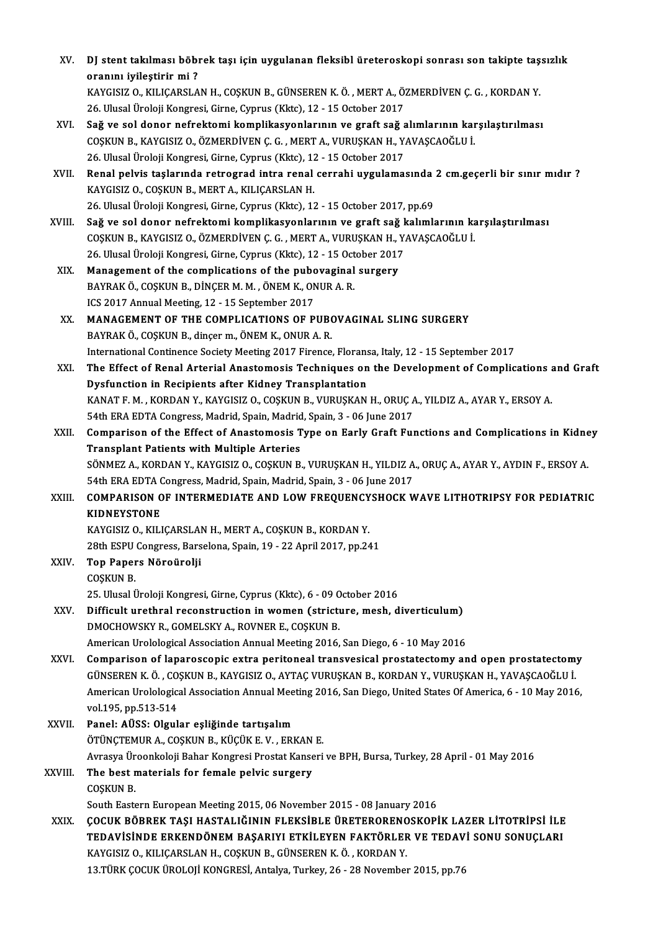| XV.     | DJ stent takılması böbrek taşı için uygulanan fleksibl üreteroskopi sonrası son takipte taşsızlık                                                                                                                                                                                                                  |
|---------|--------------------------------------------------------------------------------------------------------------------------------------------------------------------------------------------------------------------------------------------------------------------------------------------------------------------|
|         | oranını iyileştirir mi?<br>KAYGISIZ O., KILIÇARSLAN H., COŞKUN B., GÜNSEREN K. Ö., MERT A., ÖZMERDİVEN Ç. G., KORDAN Y.                                                                                                                                                                                            |
|         | 26. Ulusal Üroloji Kongresi, Girne, Cyprus (Kktc), 12 - 15 October 2017                                                                                                                                                                                                                                            |
| XVI.    | Sağ ve sol donor nefrektomi komplikasyonlarının ve graft sağ alımlarının karşılaştırılması                                                                                                                                                                                                                         |
|         | COSKUN B., KAYGISIZ O., ÖZMERDİVEN Ç. G., MERT A., VURUŞKAN H., YAVAŞCAOĞLU İ.                                                                                                                                                                                                                                     |
|         | 26. Ulusal Üroloji Kongresi, Girne, Cyprus (Kktc), 12 - 15 October 2017                                                                                                                                                                                                                                            |
| XVII.   | Renal pelvis taşlarında retrograd intra renal cerrahi uygulamasında 2 cm.geçerli bir sınır mıdır ?<br>KAYGISIZ O., COŞKUN B., MERT A., KILIÇARSLAN H.                                                                                                                                                              |
|         | 26. Ulusal Üroloji Kongresi, Girne, Cyprus (Kktc), 12 - 15 October 2017, pp.69                                                                                                                                                                                                                                     |
| XVIII.  | Sağ ve sol donor nefrektomi komplikasyonlarının ve graft sağ kalımlarının karşılaştırılması<br>COŞKUN B., KAYGISIZ O., ÖZMERDİVEN Ç. G., MERT A., VURUŞKAN H., YAVAŞCAOĞLU İ.                                                                                                                                      |
|         | 26. Ulusal Üroloji Kongresi, Girne, Cyprus (Kktc), 12 - 15 October 2017                                                                                                                                                                                                                                            |
| XIX.    | Management of the complications of the pubovaginal surgery                                                                                                                                                                                                                                                         |
|         | BAYRAK Ö., COŞKUN B., DİNÇER M. M., ÖNEM K., ONUR A. R.                                                                                                                                                                                                                                                            |
|         | ICS 2017 Annual Meeting, 12 - 15 September 2017                                                                                                                                                                                                                                                                    |
| XX.     | MANAGEMENT OF THE COMPLICATIONS OF PUBOVAGINAL SLING SURGERY                                                                                                                                                                                                                                                       |
|         | BAYRAK Ö., COŞKUN B., dinçer m., ÖNEM K., ONUR A. R.                                                                                                                                                                                                                                                               |
|         | International Continence Society Meeting 2017 Firence, Floransa, Italy, 12 - 15 September 2017                                                                                                                                                                                                                     |
| XXI.    | The Effect of Renal Arterial Anastomosis Techniques on the Development of Complications and Graft                                                                                                                                                                                                                  |
|         | Dysfunction in Recipients after Kidney Transplantation                                                                                                                                                                                                                                                             |
|         | KANAT F. M., KORDAN Y., KAYGISIZ O., COŞKUN B., VURUŞKAN H., ORUÇ A., YILDIZ A., AYAR Y., ERSOY A.                                                                                                                                                                                                                 |
|         | 54th ERA EDTA Congress, Madrid, Spain, Madrid, Spain, 3 - 06 June 2017                                                                                                                                                                                                                                             |
| XXII.   | Comparison of the Effect of Anastomosis Type on Early Graft Functions and Complications in Kidney                                                                                                                                                                                                                  |
|         | <b>Transplant Patients with Multiple Arteries</b>                                                                                                                                                                                                                                                                  |
|         | SÖNMEZ A., KORDAN Y., KAYGISIZ O., COŞKUN B., VURUŞKAN H., YILDIZ A., ORUÇ A., AYAR Y., AYDIN F., ERSOY A.                                                                                                                                                                                                         |
|         | 54th ERA EDTA Congress, Madrid, Spain, Madrid, Spain, 3 - 06 June 2017                                                                                                                                                                                                                                             |
| XXIII.  | COMPARISON OF INTERMEDIATE AND LOW FREQUENCYSHOCK WAVE LITHOTRIPSY FOR PEDIATRIC<br><b>KIDNEYSTONE</b>                                                                                                                                                                                                             |
|         | KAYGISIZ O., KILIÇARSLAN H., MERT A., COŞKUN B., KORDAN Y.                                                                                                                                                                                                                                                         |
|         | 28th ESPU Congress, Barselona, Spain, 19 - 22 April 2017, pp 241                                                                                                                                                                                                                                                   |
| XXIV.   | Top Papers Nöroürolji<br><b>COSKUN B.</b>                                                                                                                                                                                                                                                                          |
|         | 25. Ulusal Üroloji Kongresi, Girne, Cyprus (Kktc), 6 - 09 October 2016                                                                                                                                                                                                                                             |
| XXV.    | Difficult urethral reconstruction in women (stricture, mesh, diverticulum)<br>DMOCHOWSKY R., GOMELSKY A., ROVNER E., COSKUN B.                                                                                                                                                                                     |
|         | American Urolological Association Annual Meeting 2016, San Diego, 6 - 10 May 2016                                                                                                                                                                                                                                  |
| XXVI.   | Comparison of laparoscopic extra peritoneal transvesical prostatectomy and open prostatectomy<br>GÜNSEREN K. Ö., COŞKUN B., KAYGISIZ O., AYTAÇ VURUŞKAN B., KORDAN Y., VURUŞKAN H., YAVAŞCAOĞLU İ.<br>American Urolological Association Annual Meeting 2016, San Diego, United States Of America, 6 - 10 May 2016, |
|         | vol 195, pp 513-514                                                                                                                                                                                                                                                                                                |
| XXVII.  | Panel: AÜSS: Olgular eşliğinde tartışalım                                                                                                                                                                                                                                                                          |
|         | ÖTÜNÇTEMUR A., COŞKUN B., KÜÇÜK E. V., ERKAN E.                                                                                                                                                                                                                                                                    |
|         | Avrasya Üroonkoloji Bahar Kongresi Prostat Kanseri ve BPH, Bursa, Turkey, 28 April - 01 May 2016                                                                                                                                                                                                                   |
| XXVIII. | The best materials for female pelvic surgery                                                                                                                                                                                                                                                                       |
|         | <b>COSKUN B.</b>                                                                                                                                                                                                                                                                                                   |
|         | South Eastern European Meeting 2015, 06 November 2015 - 08 January 2016                                                                                                                                                                                                                                            |
| XXIX.   | ÇOCUK BÖBREK TAŞI HASTALIĞININ FLEKSİBLE ÜRETERORENOSKOPİK LAZER LİTOTRİPSİ İLE<br>TEDAVISINDE ERKENDÖNEM BAŞARIYI ETKİLEYEN FAKTÖRLER VE TEDAVI SONU SONUÇLARI                                                                                                                                                    |
|         | KAYGISIZ O., KILIÇARSLAN H., COŞKUN B., GÜNSEREN K. Ö., KORDAN Y.                                                                                                                                                                                                                                                  |
|         | 13. TÜRK ÇOCUK ÜROLOJİ KONGRESİ, Antalya, Turkey, 26 - 28 November 2015, pp.76                                                                                                                                                                                                                                     |
|         |                                                                                                                                                                                                                                                                                                                    |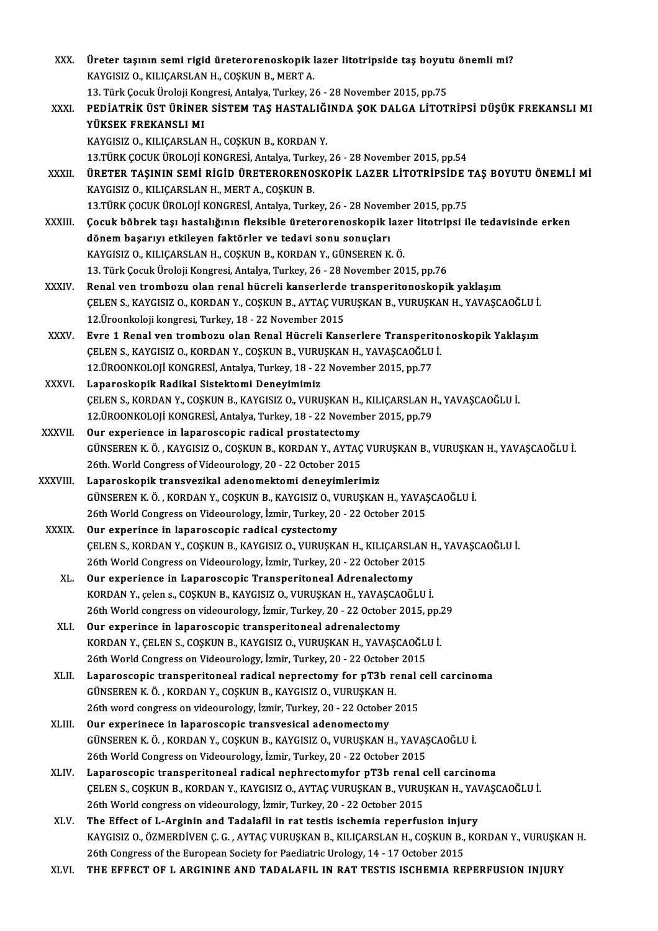| XXX.         | Üreter taşının semi rigid üreterorenoskopik lazer litotripside taş boyutu önemli mi?                                               |
|--------------|------------------------------------------------------------------------------------------------------------------------------------|
|              | KAYGISIZ O., KILIÇARSLAN H., COŞKUN B., MERT A.<br>13. Türk Çocuk Üroloji Kongresi, Antalya, Turkey, 26 - 28 November 2015, pp.75  |
|              | PEDIATRIK ÜST ÜRINER SISTEM TAŞ HASTALIĞINDA ŞOK DALGA LITOTRIPSI DÜŞÜK FREKANSLI MI                                               |
| XXXI.        | YÜKSEK FREKANSLI MI                                                                                                                |
|              |                                                                                                                                    |
|              | KAYGISIZ O., KILIÇARSLAN H., COŞKUN B., KORDAN Y.<br>13.TÜRK ÇOCUK ÜROLOJİ KONGRESİ, Antalya, Turkey, 26 - 28 November 2015, pp.54 |
| XXXII.       | ÜRETER TAŞININ SEMİ RİGİD ÜRETERORENOSKOPİK LAZER LİTOTRİPSİDE TAŞ BOYUTU ÖNEMLİ Mİ                                                |
|              | KAYGISIZ O., KILIÇARSLAN H., MERT A., COŞKUN B.                                                                                    |
|              | 13 TÜRK ÇOCUK ÜROLOJİ KONGRESİ, Antalya, Turkey, 26 - 28 November 2015, pp.75                                                      |
| XXXIII.      | Çocuk böbrek taşı hastalığının fleksible üreterorenoskopik lazer litotripsi ile tedavisinde erken                                  |
|              | dönem başarıyı etkileyen faktörler ve tedavi sonu sonuçları                                                                        |
|              | KAYGISIZ O., KILIÇARSLAN H., COŞKUN B., KORDAN Y., GÜNSEREN K. Ö.                                                                  |
|              | 13. Türk Çocuk Üroloji Kongresi, Antalya, Turkey, 26 - 28 November 2015, pp.76                                                     |
| <b>XXXIV</b> | Renal ven trombozu olan renal hücreli kanserlerde transperitonoskopik yaklaşım                                                     |
|              | ÇELEN S., KAYGISIZ O., KORDAN Y., COŞKUN B., AYTAÇ VURUŞKAN B., VURUŞKAN H., YAVAŞCAOĞLU İ.                                        |
|              | 12. Üroonkoloji kongresi, Turkey, 18 - 22 November 2015                                                                            |
| XXXV.        | Evre 1 Renal ven trombozu olan Renal Hücreli Kanserlere Transperitonoskopik Yaklaşım                                               |
|              | ÇELEN S., KAYGISIZ O., KORDAN Y., COŞKUN B., VURUŞKAN H., YAVAŞCAOĞLU İ.                                                           |
|              | 12. ÜROONKOLOJİ KONGRESİ, Antalya, Turkey, 18 - 22 November 2015, pp.77                                                            |
| XXXVI.       | Laparoskopik Radikal Sistektomi Deneyimimiz                                                                                        |
|              | ÇELEN S., KORDAN Y., COŞKUN B., KAYGISIZ O., VURUŞKAN H., KILIÇARSLAN H., YAVAŞCAOĞLU İ.                                           |
|              | 12. ÜROONKOLOJİ KONGRESİ, Antalya, Turkey, 18 - 22 November 2015, pp.79                                                            |
| XXXVII.      | Our experience in laparoscopic radical prostatectomy                                                                               |
|              | GÜNSEREN K. Ö., KAYGISIZ O., COŞKUN B., KORDAN Y., AYTAÇ VURUŞKAN B., VURUŞKAN H., YAVAŞCAOĞLU İ.                                  |
|              | 26th. World Congress of Videourology, 20 - 22 October 2015                                                                         |
| XXXVIII.     | Laparoskopik transvezikal adenomektomi deneyimlerimiz                                                                              |
|              | GÜNSEREN K. Ö., KORDAN Y., COSKUN B., KAYGISIZ O., VURUŞKAN H., YAVAŞCAOĞLU İ.                                                     |
|              | 26th World Congress on Videourology, İzmir, Turkey, 20 - 22 October 2015                                                           |
| <b>XXXIX</b> | Our experince in laparoscopic radical cystectomy                                                                                   |
|              | CELEN S., KORDAN Y., COSKUN B., KAYGISIZ O., VURUSKAN H., KILICARSLAN H., YAVASCAOĞLU İ.                                           |
|              | 26th World Congress on Videourology, İzmir, Turkey, 20 - 22 October 2015                                                           |
| XL.          | Our experience in Laparoscopic Transperitoneal Adrenalectomy                                                                       |
|              | KORDAN Y., çelen s., COŞKUN B., KAYGISIZ O., VURUŞKAN H., YAVAŞCAOĞLU İ.                                                           |
|              | 26th World congress on videourology, İzmir, Turkey, 20 - 22 October 2015, pp.29                                                    |
| XLI.         | Our experince in laparoscopic transperitoneal adrenalectomy                                                                        |
|              | KORDAN Y., ÇELEN S., COŞKUN B., KAYGISIZ O., VURUŞKAN H., YAVAŞCAOĞLU İ.                                                           |
|              | 26th World Congress on Videourology, İzmir, Turkey, 20 - 22 October 2015                                                           |
| XLII.        | Laparoscopic transperitoneal radical neprectomy for pT3b renal cell carcinoma                                                      |
|              | GÜNSEREN K.Ö., KORDAN Y., COŞKUN B., KAYGISIZ O., VURUŞKAN H.                                                                      |
|              | 26th word congress on videourology, İzmir, Turkey, 20 - 22 October 2015                                                            |
| XLIII.       | Our experinece in laparoscopic transvesical adenomectomy                                                                           |
|              | GÜNSEREN K. Ö., KORDAN Y., COŞKUN B., KAYGISIZ O., VURUŞKAN H., YAVAŞCAOĞLU İ.                                                     |
|              | 26th World Congress on Videourology, İzmir, Turkey, 20 - 22 October 2015                                                           |
| XLIV.        | Laparoscopic transperitoneal radical nephrectomyfor pT3b renal cell carcinoma                                                      |
|              | ÇELEN S., COŞKUN B., KORDAN Y., KAYGISIZ O., AYTAÇ VURUŞKAN B., VURUŞKAN H., YAVAŞCAOĞLU İ.                                        |
|              | 26th World congress on videourology, İzmir, Turkey, 20 - 22 October 2015                                                           |
| XLV.         | The Effect of L-Arginin and Tadalafil in rat testis ischemia reperfusion injury                                                    |
|              | KAYGISIZ O., ÖZMERDİVEN Ç. G. , AYTAÇ VURUŞKAN B., KILIÇARSLAN H., COŞKUN B., KORDAN Y., VURUŞKAN H.                               |
|              | 26th Congress of the European Society for Paediatric Urology, 14 - 17 October 2015                                                 |
| XLVI.        | THE EFFECT OF L ARGININE AND TADALAFIL IN RAT TESTIS ISCHEMIA REPERFUSION INJURY                                                   |
|              |                                                                                                                                    |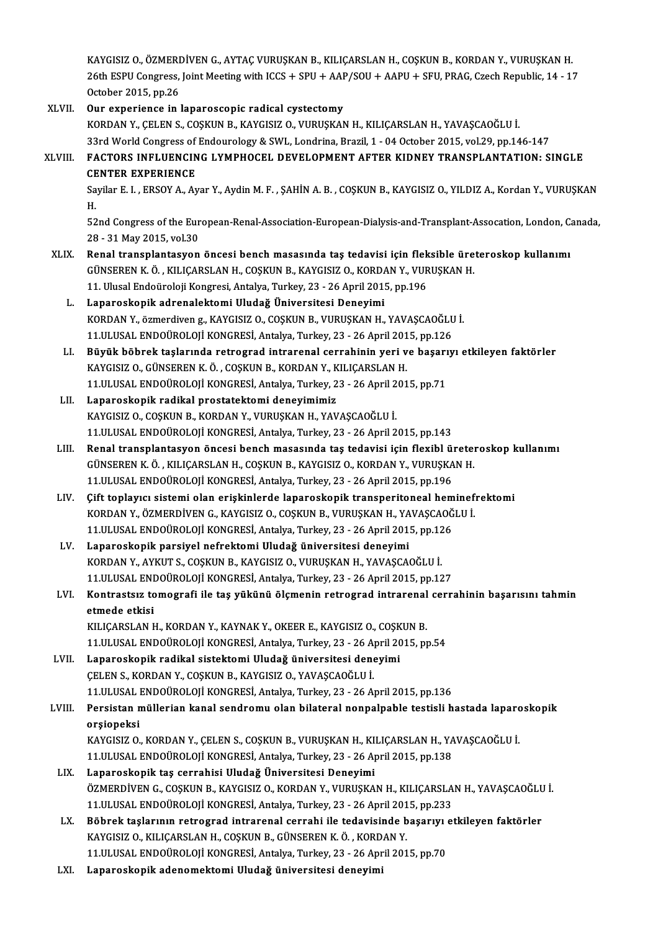KAYGISIZ O., ÖZMERDİVEN G., AYTAÇ VURUŞKAN B., KILIÇARSLAN H., COŞKUN B., KORDAN Y., VURUŞKAN H. KAYGISIZ O., ÖZMERDİVEN G., AYTAÇ VURUŞKAN B., KILIÇARSLAN H., COŞKUN B., KORDAN Y., VURUŞKAN H.<br>26th ESPU Congress, Joint Meeting with ICCS + SPU + AAP/SOU + AAPU + SFU, PRAG, Czech Republic, 14 - 17 KAYGISIZ O., ÖZMERI<br>26th ESPU Congress,<br>October 2015, pp.26 26th ESPU Congress, Joint Meeting with ICCS + SPU + AAF<br>October 2015, pp.26<br>XLVII. Our experience in laparoscopic radical cystectomy<br>EQPDAN V. CELEN S. COSEUN B. FAVCISIZ O. VUBUSEAN

- October 2015, pp.26<br>Our experience in laparoscopic radical cystectomy<br>KORDAN Y., ÇELEN S., COŞKUN B., KAYGISIZ O., VURUŞKAN H., KILIÇARSLAN H., YAVAŞCAOĞLU İ. 33rdWorldCongress ofEndourology&SWL,Londrina,Brazil,1 -04October 2015,vol.29,pp.146-147 KORDAN Y., ÇELEN S., COŞKUN B., KAYGISIZ O., VURUŞKAN H., KILIÇARSLAN H., YAVAŞCAOĞLU İ.<br>33rd World Congress of Endourology & SWL, Londrina, Brazil, 1 - 04 October 2015, vol.29, pp.146-147<br>XLVIII. FACTORS INFLUENCING L 33rd World Congress of<br>FACTORS INFLUENCIN<br>CENTER EXPERIENCE<br>Savilar E J - ERSOV A -AY FACTORS INFLUENCING LYMPHOCEL DEVELOPMENT AFTER KIDNEY TRANSPLANTATION: SINGLE<br>CENTER EXPERIENCE<br>Sayilar E. I. , ERSOY A., Ayar Y., Aydin M. F. , ŞAHİN A. B. , COŞKUN B., KAYGISIZ O., YILDIZ A., Kordan Y., VURUŞKAN<br>H CE<br>Sa<br>H Sayilar E. I. , ERSOY A., Ayar Y., Aydin M. F. , ŞAHİN A. B. , COŞKUN B., KAYGISIZ O., YILDIZ A., Kordan Y., VURUŞKAN<br>H.<br>52nd Congress of the European-Renal-Association-European-Dialysis-and-Transplant-Assocation, London, H.<br>52nd Congress of the European-Renal-Association-European-Dialysis-and-Transplant-Assocation, London, Canada,<br>28 - 31 May 2015, vol.30 XLIX. Renal transplantasyon öncesi bench masasında taş tedavisi için fleksible üreteroskop kullanımı 28 - 31 May 2015, vol.30<br>Renal transplantasyon öncesi bench masasında taş tedavisi için fleksible üre<br>GÜNSEREN K.Ö. , KILIÇARSLAN H., COŞKUN B., KAYGISIZ O., KORDAN Y., VURUŞKAN H.<br>11 Hlusel Endoüreleji Kongresi Antelya Tu Renal transplantasyon öncesi bench masasında taş tedavisi için flek<br>GÜNSEREN K. Ö. , KILIÇARSLAN H., COŞKUN B., KAYGISIZ O., KORDAN Y., VUR<br>11. Ulusal Endoüroloji Kongresi, Antalya, Turkey, 23 - 26 April 2015, pp.196<br>Lanan GÜNSEREN K. Ö. , KILIÇARSLAN H., COŞKUN B., KAYGISIZ O., KORDA<br>11. Ulusal Endoüroloji Kongresi, Antalya, Turkey, 23 - 26 April 201!<br>L. Laparoskopik adrenalektomi Uludağ Üniversitesi Deneyimi<br>KORDAN V. Özmerdiyen g. KAYCISI 11. Ulusal Endoüroloji Kongresi, Antalya, Turkey, 23 - 26 April 2015, pp.196<br>Laparoskopik adrenalektomi Uludağ Üniversitesi Deneyimi<br>KORDAN Y., özmerdiven g., KAYGISIZ O., COŞKUN B., VURUŞKAN H., YAVAŞCAOĞLU İ.<br>11 III USAL Laparoskopik adrenalektomi Uludağ Üniversitesi Deneyimi<br>KORDAN Y., özmerdiven g., KAYGISIZ O., COŞKUN B., VURUŞKAN H., YAVAŞCAOĞLU<br>11.ULUSAL ENDOÜROLOJİ KONGRESİ, Antalya, Turkey, 23 - 26 April 2015, pp.126<br>Büyük böhnek te KORDAN Y., özmerdiven g., KAYGISIZ O., COŞKUN B., VURUŞKAN H., YAVAŞCAOĞLU İ.<br>11.ULUSAL ENDOÜROLOJİ KONGRESİ, Antalya, Turkey, 23 - 26 April 2015, pp.126<br>LI. Büyük böbrek taşlarında retrograd intrarenal cerrahinin yeri ve 11.ULUSAL ENDOÜROLOJİ KONGRESİ, Antalya, Turkey, 23 - 26 April 201<br>Büyük böbrek taşlarında retrograd intrarenal cerrahinin yeri v<br>KAYGISIZ O., GÜNSEREN K.Ö., COŞKUN B., KORDAN Y., KILIÇARSLAN H.<br>11 III USAL ENDOÜROLOU KONG Büyük böbrek taşlarında retrograd intrarenal cerrahinin yeri ve başarı<br>KAYGISIZ O., GÜNSEREN K. Ö. , COŞKUN B., KORDAN Y., KILIÇARSLAN H.<br>11.ULUSAL ENDOÜROLOJİ KONGRESİ, Antalya, Turkey, 23 - 26 April 2015, pp.71<br>Lanarosko KAYGISIZ 0., GÜNSEREN K. Ö. , COŞKUN B., KORDAN Y., K<br>11.ULUSAL ENDOÜROLOJİ KONGRESİ, Antalya, Turkey, 2<br>LII. Laparoskopik radikal prostatektomi deneyimimiz<br>KAYCISIZ O. COSKUN B. KORDAN V. VUBUSKAN H. YAV 11.ULUSAL ENDOÜROLOJİ KONGRESİ, Antalya, Turkey, 23 - 26 April 2015, pp.71<br>LII. Laparoskopik radikal prostatektomi deneyimimiz<br>KAYGISIZ O., COSKUN B., KORDAN Y., VURUŞKAN H., YAVAŞCAOĞLU İ. 11.ULUSAL ENDOÜROLOJİKONGRESİ,Antalya,Turkey,23 -26April2015,pp.143 LIII. Renal transplantasyon öncesi bench masasında taş tedavisi için flexibl üreteroskop kullanımı 11.ULUSAL ENDOÜROLOJİ KONGRESİ, Antalya, Turkey, 23 - 26 April 2015, pp.143<br>Renal transplantasyon öncesi bench masasında taş tedavisi için flexibl üretel<br>GÜNSEREN K.Ö., KILIÇARSLAN H., COŞKUN B., KAYGISIZ O., KORDAN Y., VU Renal transplantasyon öncesi bench masasında taş tedavisi için flexibl ü:<br>GÜNSEREN K. Ö. , KILIÇARSLAN H., COŞKUN B., KAYGISIZ O., KORDAN Y., VURUŞKA<br>11.ULUSAL ENDOÜROLOJİ KONGRESİ, Antalya, Turkey, 23 - 26 April 2015, pp. 11.ULUSAL ENDOÜROLOJİ KONGRESİ, Antalya, Turkey, 23 - 26 April 2015, pp.196<br>LIV. Cift toplayıcı sistemi olan erişkinlerde laparoskopik transperitoneal heminefrektomi 11.ULUSAL ENDOÜROLOJİ KONGRESİ, Antalya, Turkey, 23 - 26 April 2015, pp.196<br>Çift toplayıcı sistemi olan erişkinlerde laparoskopik transperitoneal heminef:<br>KORDAN Y., ÖZMERDİVEN G., KAYGISIZ O., COŞKUN B., VURUŞKAN H., YAVA Çift toplayıcı sistemi olan erişkinlerde laparoskopik transperitoneal hem<br>KORDAN Y., ÖZMERDİVEN G., KAYGISIZ O., COŞKUN B., VURUŞKAN H., YAVAŞCAOĞ<br>11.ULUSAL ENDOÜROLOJİ KONGRESİ, Antalya, Turkey, 23 - 26 April 2015, pp.126 KORDAN Y., ÖZMERDİVEN G., KAYGISIZ O., COŞKUN B., VURUŞKAN H., YA<br>11.ULUSAL ENDOÜROLOJİ KONGRESİ, Antalya, Turkey, 23 - 26 April 2011<br>LV. Laparoskopik parsiyel nefrektomi Uludağ üniversitesi deneyimi<br>KOPDAN Y. AVKUTS, 11.ULUSAL ENDOÜROLOJİ KONGRESİ, Antalya, Turkey, 23 - 26 April 2015, pp.126<br>Laparoskopik parsiyel nefrektomi Uludağ üniversitesi deneyimi<br>KORDAN Y., AYKUT S., COŞKUN B., KAYGISIZ O., VURUŞKAN H., YAVAŞCAOĞLU İ. 11.ULUSAL ENDOÜROLOJİKONGRESİ,Antalya,Turkey,23 -26April2015,pp.127 KORDAN Y., AYKUT S., COŞKUN B., KAYGISIZ O., VURUŞKAN H., YAVAŞCAOĞLU İ.<br>11.ULUSAL ENDOÜROLOJİ KONGRESİ, Antalya, Turkey, 23 - 26 April 2015, pp.127<br>LVI. Kontrastsız tomografi ile taş yükünü ölçmenin retrograd intraren 11.ULUSAL ENI<br>Kontrastsız to<br>etmede etkisi<br>KU ICARSI AN L Kontrastsız tomografi ile taş yükünü ölçmenin retrograd intrarenal<br>etmede etkisi<br>KILIÇARSLAN H., KORDAN Y., KAYNAK Y., OKEER E., KAYGISIZ O., COŞKUN B.<br>11 III USAL ENDOÜROLOU KONGRESİ Artakıs Turkay 22, 26 April 2015 pr etmede etkisi<br>KILIÇARSLAN H., KORDAN Y., KAYNAK Y., OKEER E., KAYGISIZ O., COŞKUN B.<br>11.ULUSAL ENDOÜROLOJİ KONGRESİ, Antalya, Turkey, 23 - 26 April 2015, pp.54<br>Lanaroskonik radikal sistektemi Uludağ üniyersitesi denevimi KILIÇARSLAN H., KORDAN Y., KAYNAK Y., OKEER E., KAYGISIZ O., COŞKUN B.<br>11.ULUSAL ENDOÜROLOJİ KONGRESİ, Antalya, Turkey, 23 - 26 April 2015, p<br>LVII. Laparoskopik radikal sistektomi Uludağ üniversitesi deneyimi<br>CELEN S., KOR 11.ULUSAL ENDOÜROLOJİ KONGRESİ, Antalya, Turkey, 23 - 26 A<br>Laparoskopik radikal sistektomi Uludağ üniversitesi dene<br>ÇELEN S., KORDAN Y., COŞKUN B., KAYGISIZ O., YAVAŞCAOĞLU İ.<br>11 III USAL ENDOÜPOLOJİ KONGPESİ, Antalya Turk 11.ULUSAL ENDOÜROLOJİKONGRESİ,Antalya,Turkey,23 -26April2015,pp.136 CELEN S., KORDAN Y., COŞKUN B., KAYGISIZ O., YAVAŞCAOĞLU İ.<br>11.ULUSAL ENDOÜROLOJİ KONGRESİ, Antalya, Turkey, 23 - 26 April 2015, pp.136<br>25. Persistan müllerian kanal sendromu olan bilateral nonpalpable testisli hastada lap 11.ULUSAL<br>Persistan n<br>orşiopeksi<br>KAVCISIZ O Persistan müllerian kanal sendromu olan bilateral nonpalpable testisli hastada laparc<br>orşiopeksi<br>KAYGISIZ O., KORDAN Y., ÇELEN S., COŞKUN B., VURUŞKAN H., KILIÇARSLAN H., YAVAŞCAOĞLU İ.<br>11 III USAL ENDOÜROLOU KONCRESİ Anta orşiopeksi<br>KAYGISIZ O., KORDAN Y., ÇELEN S., COŞKUN B., VURUŞKAN H., KILIÇARSLAN H., YA<br>11.ULUSAL ENDOÜROLOJİ KONGRESİ, Antalya, Turkey, 23 - 26 April 2015, pp.138<br>Lanangakanik tes sanrabisi Uludağ Üniversitesi Denovimi KAYGISIZ O., KORDAN Y., ÇELEN S., COŞKUN B., VURUŞKAN H., KI<br>11.ULUSAL ENDOÜROLOJİ KONGRESİ, Antalya, Turkey, 23 - 26 A<sub>l</sub><br>LIX. Laparoskopik taş cerrahisi Uludağ Üniversitesi Deneyimi<br>ÖZMERDİVEN C. COSKUN B. KAYCISIZ O 11.ULUSAL ENDOÜROLOJİ KONGRESİ, Antalya, Turkey, 23 - 26 April 2015, pp.138<br>Laparoskopik taş cerrahisi Uludağ Üniversitesi Deneyimi<br>ÖZMERDİVEN G., COŞKUN B., KAYGISIZ O., KORDAN Y., VURUŞKAN H., KILIÇARSLAN H., YAVAŞCAOĞLU Laparoskopik taş cerrahisi Uludağ Üniversitesi Deneyimi<br>ÖZMERDİVEN G., COŞKUN B., KAYGISIZ O., KORDAN Y., VURUŞKAN H., KILIÇARSLA<br>11.ULUSAL ENDOÜROLOJİ KONGRESİ, Antalya, Turkey, 23 - 26 April 2015, pp.233<br>Böhnek teslerunu ÖZMERDİVEN G., COŞKUN B., KAYGISIZ O., KORDAN Y., VURUŞKAN H., KILIÇARSLAN H., YAVAŞCAOĞLU<br>11.ULUSAL ENDOÜROLOJİ KONGRESİ, Antalya, Turkey, 23 - 26 April 2015, pp.233<br>LX. Böbrek taşlarının retrograd intrarenal cerrahi ile 11.ULUSAL ENDOÜROLOJİ KONGRESİ, Antalya, Turkey, 23 - 26 April 201<br>Böbrek taşlarının retrograd intrarenal cerrahi ile tedavisinde b<br>KAYGISIZ O., KILIÇARSLAN H., COŞKUN B., GÜNSEREN K.Ö. , KORDAN Y.<br>11 III USAL ENDOÜROLOU K LX. Böbrek taşlarının retrograd intrarenal cerrahi ile tedavisinde başarıyı etkileyen faktörler<br>KAYGISIZ O., KILIÇARSLAN H., COŞKUN B., GÜNSEREN K. Ö. , KORDAN Y.<br>11.ULUSAL ENDOÜROLOJİ KONGRESİ, Antalya, Turkey, 23 - 26 Ap
	- LXI. Laparoskopik adenomektomi Uludağ üniversitesi deneyimi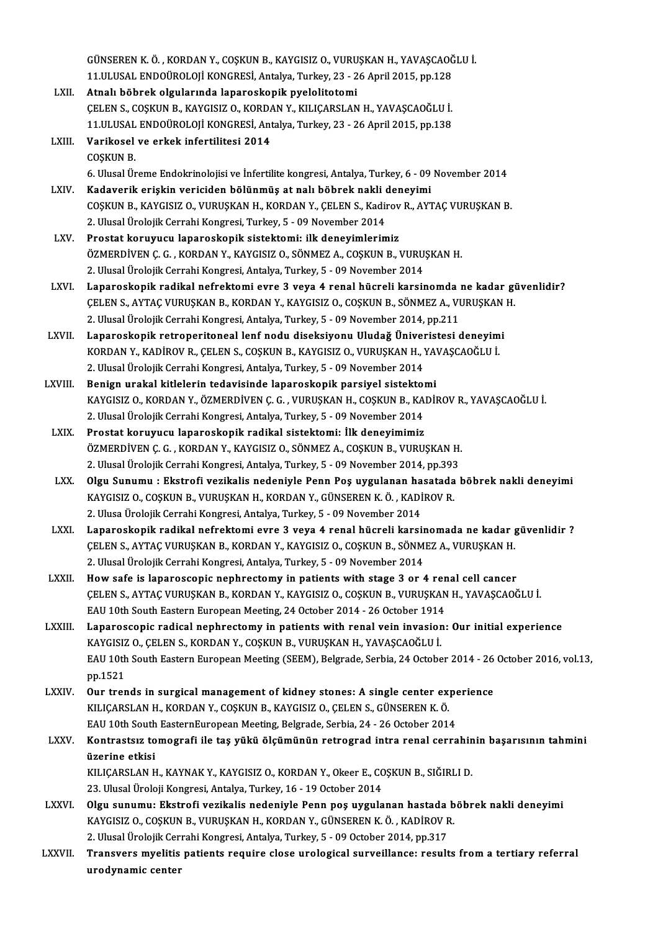GÜNSEREN K.Ö. , KORDAN Y., COŞKUN B., KAYGISIZ O., VURUŞKAN H., YAVAŞCAOĞLU İ.<br>11 HI USAL ENDOÜROLOU KONCRESİ, Artakva Turkay, 22,, 26 April 2015, np.128 GÜNSEREN K. Ö. , KORDAN Y., COŞKUN B., KAYGISIZ O., VURUŞKAN H., YAVAŞCAOĞ<br>11.ULUSAL ENDOÜROLOJİ KONGRESİ, Antalya, Turkey, 23 - 26 April 2015, pp.128<br>Atnalı böhnek alsıylarında lanaroskanik pyalelitetemi 11.ULUSAL ENDOÜROLOJİ KONGRESİ, Antalya, Turkey, 23 - 26 April 2015, pp.128<br>LXII. Atnalı böbrek olgularında laparoskopik pyelolitotomi 11.ULUSAL ENDOÜROLOJİ KONGRESİ, Antalya, Turkey, 23 - 26 April 2015, pp.128<br>Atnalı böbrek olgularında laparoskopik pyelolitotomi<br>ÇELEN S., COŞKUN B., KAYGISIZ O., KORDAN Y., KILIÇARSLAN H., YAVAŞCAOĞLU İ.<br>11 III USAL ENDOÜ Atnalı böbrek olgularında laparoskopik pyelolitotomi<br>ÇELEN S., COŞKUN B., KAYGISIZ O., KORDAN Y., KILIÇARSLAN H., YAVAŞCAOĞLU İ.<br>11.ULUSAL ENDOÜROLOJİ KONGRESİ, Antalya, Turkey, 23 - 26 April 2015, pp.138<br>Varikosal ve erke LXIII. Varikosel ve erkek infertilitesi 2014<br>COSKUN B. 11.ULUSAL ENDOÜROLOJİ KONGRESİ, Antalya, Turkey, 23 - 26 April 2015, pp.138 6.UlusalÜremeEndokrinolojisive İnfertilite kongresi,Antalya,Turkey,6 -09November 2014 COŞKUN B.<br>6. Ulusal Üreme Endokrinolojisi ve İnfertilite kongresi, Antalya, Turkey, 6 - 09<br>2. LXIV. Kadaverik erişkin vericiden bölünmüş at nalı böbrek nakli deneyimi<br>2. COSKUN B. KAVÇISIZ O, VUBUSKAN H. KOBDAN V. CELEN S. COŞKUN B., KAYGISIZ O., VURUŞKAN H., KORDAN Y., ÇELEN S., Kadirov R., AYTAÇ VURUŞKAN B.<br>2. Ulusal Ürolojik Cerrahi Kongresi, Turkey, 5 - 09 November 2014 Kadaverik erişkin vericiden bölünmüş at nalı böbrek nakli doğkun B., Kaygısız O., VURUŞKAN H., KORDAN Y., ÇELEN S., Kadir<br>2. Ulusal Ürolojik Cerrahi Kongresi, Turkey, 5 - 09 November 2014<br>Prestat koruyusu Japareskapik sist LXV. Prostat koruyucu laparoskopik sistektomi: ilk deneyimlerimiz ÖZMERDİVEN Ç.G., KORDAN Y., KAYGISIZ O., SÖNMEZ A., COŞKUN B., VURUŞKAN H. 2. Ulusal Ürolojik Cerrahi Kongresi, Antalya, Turkey, 5 - 09 November 2014 LXVI. Laparoskopik radikal nefrektomi evre 3 veya 4 renal hücreli karsinomda ne kadar güvenlidir? 2. Ulusal Ürolojik Cerrahi Kongresi, Antalya, Turkey, 5 - 09 November 2014<br>Laparoskopik radikal nefrektomi evre 3 veya 4 renal hücreli karsinomda ne kadar gi<br>ÇELEN S., AYTAÇ VURUŞKAN B., KORDAN Y., KAYGISIZ O., COŞKUN B., Laparoskopik radikal nefrektomi evre 3 veya 4 renal hücreli karsinomda<br>ÇELEN S., AYTAÇ VURUŞKAN B., KORDAN Y., KAYGISIZ O., COŞKUN B., SÖNMEZ A., VI<br>2. Ulusal Ürolojik Cerrahi Kongresi, Antalya, Turkey, 5 - 09 November 201 CELEN S., AYTAC VURUŞKAN B., KORDAN Y., KAYGISIZ O., COŞKUN B., SÖNMEZ A., VURUŞKAN<br>2. Ulusal Ürolojik Cerrahi Kongresi, Antalya, Turkey, 5 - 09 November 2014, pp.211<br>2. LXVII. Laparoskopik retroperitoneal lenf nodu diseks 2. Ulusal Ürolojik Cerrahi Kongresi, Antalya, Turkey, 5 - 09 November 2014, pp.211<br>Laparoskopik retroperitoneal lenf nodu diseksiyonu Uludağ Üniveristesi deneyimi<br>KORDAN Y., KADİROV R., ÇELEN S., COŞKUN B., KAYGISIZ O., VU Laparoskopik retroperitoneal lenf nodu diseksiyonu Uludağ Üniver<br>KORDAN Y., KADİROV R., ÇELEN S., COŞKUN B., KAYGISIZ O., VURUŞKAN H., Y<br>2. Ulusal Ürolojik Cerrahi Kongresi, Antalya, Turkey, 5 - 09 November 2014<br>Bonisn ura KORDAN Y., KADİROV R., ÇELEN S., COŞKUN B., KAYGISIZ O., VURUŞKAN H., YA'<br>2. Ulusal Ürolojik Cerrahi Kongresi, Antalya, Turkey, 5 - 09 November 2014<br>LXVIII. Benign urakal kitlelerin tedavisinde laparoskopik parsiyel sistek Benign urakal kitlelerin tedavisinde laparoskopik parsiyel sistektomi<br>KAYGISIZ O., KORDAN Y., ÖZMERDİVEN Ç. G. , VURUŞKAN H., COŞKUN B., KADİROV R., YAVAŞCAOĞLU İ. 2. Ulusal Ürolojik Cerrahi Kongresi, Antalya, Turkey, 5 - 09 November 2014 LXIX. Prostat koruyucu laparoskopik radikal sistektomi: İlk deneyimimiz ÖZMERDİVEN Ç.G., KORDAN Y., KAYGISIZ O., SÖNMEZ A., COŞKUN B., VURUŞKAN H. Prostat koruyucu laparoskopik radikal sistektomi: İlk deneyimimiz<br>ÖZMERDİVEN Ç. G. , KORDAN Y., KAYGISIZ O., SÖNMEZ A., COŞKUN B., VURUŞKAN H.<br>2. Ulusal Ürolojik Cerrahi Kongresi, Antalya, Turkey, 5 - 09 November 2014, pp. LXX. Olgu Sunumu : Ekstrofi vezikalis nedeniyle Penn Poş uygulanan hasatada böbrek nakli deneyimi 2. Ulusal Ürolojik Cerrahi Kongresi, Antalya, Turkey, 5 - 09 November 2014, pp.393<br>Olgu Sunumu : Ekstrofi vezikalis nedeniyle Penn Poş uygulanan hasatada<br>KAYGISIZ O., COŞKUN B., VURUŞKAN H., KORDAN Y., GÜNSEREN K.Ö., KADİR 2. Ulusa Ürolojik Cerrahi Kongresi, Antalya, Turkey, 5 - 09 November 2014 KAYGISIZ O., COŞKUN B., VURUŞKAN H., KORDAN Y., GÜNSEREN K. Ö. , KADİROV R.<br>2. Ulusa Ürolojik Cerrahi Kongresi, Antalya, Turkey, 5 - 09 November 2014<br>2. LXXI. Laparoskopik radikal nefrektomi evre 3 veya 4 renal hücreli kar 2. Ulusa Ürolojik Cerrahi Kongresi, Antalya, Turkey, 5 - 09 November 2014<br>Laparoskopik radikal nefrektomi evre 3 veya 4 renal hücreli karsinomada ne kadar g<br>ÇELEN S., AYTAÇ VURUŞKAN B., KORDAN Y., KAYGISIZ O., COŞKUN B., S Laparoskopik radikal nefrektomi evre 3 veya 4 renal hücreli karsin<br>ÇELEN S., AYTAÇ VURUŞKAN B., KORDAN Y., KAYGISIZ O., COŞKUN B., SÖNM<br>2. Ulusal Ürolojik Cerrahi Kongresi, Antalya, Turkey, 5 - 09 November 2014<br>How safa is CELEN S., AYTAC VURUŞKAN B., KORDAN Y., KAYGISIZ O., COŞKUN B., SÖNMEZ A., VURUŞKAN H.<br>2. Ulusal Ürolojik Cerrahi Kongresi, Antalya, Turkey, 5 - 09 November 2014<br>LXXII. How safe is laparoscopic nephrectomy in patients with 2. Ulusal Ürolojik Cerrahi Kongresi, Antalya, Turkey, 5 - 09 November 2014<br>How safe is laparoscopic nephrectomy in patients with stage 3 or 4 renal cell cancer<br>ÇELEN S., AYTAÇ VURUŞKAN B., KORDAN Y., KAYGISIZ O., COŞKUN B. How safe is laparoscopic nephrectomy in patients with stage 3 or 4 rem<br>CELEN S., AYTAC VURUŞKAN B., KORDAN Y., KAYGISIZ O., COŞKUN B., VURUŞKAN<br>EAU 10th South Eastern European Meeting, 24 October 2014 - 26 October 1914<br>Lap CELEN S., AYTAC VURUSKAN B., KORDAN Y., KAYGISIZ O., COSKUN B., VURUSKAN H., YAVASCAOĞLU İ.<br>EAU 10th South Eastern European Meeting, 24 October 2014 - 26 October 1914<br>LXXIII. Laparoscopic radical nephrectomy in patient EAU 10th South Eastern European Meeting, 24 October 2014 - 26 October 1914 Laparoscopic radical nephrectomy in patients with renal vein invasion: Our initial experience<br>KAYGISIZ O., ÇELEN S., KORDAN Y., COŞKUN B., VURUŞKAN H., YAVAŞCAOĞLU İ.<br>EAU 10th South Eastern European Meeting (SEEM), Belgrad KAYGISIZ<br>EAU 10th<br>pp.1521 EAU 10th South Eastern European Meeting (SEEM), Belgrade, Serbia, 24 October 2014 - 26<br>pp.1521<br>LXXIV. Our trends in surgical management of kidney stones: A single center experience<br>EU JCARSLAN H, FORDAN V, COSEUN P, FAVCIS pp.1521<br>Our trends in surgical management of kidney stones: A single center experience<br>KILIÇARSLAN H., KORDAN Y., COŞKUN B., KAYGISIZ O., ÇELEN S., GÜNSEREN K. Ö. Our trends in surgical management of kidney stones: A single center experient South South South South South So<br>EAU 10th South EasternEuropean Meeting, Belgrade, Serbia, 24 - 26 October 2014<br>Kontrasteur temesus ile tos vült KILIÇARSLAN H., KORDAN Y., COŞKUN B., KAYGISIZ O., ÇELEN S., GÜNSEREN K. Ö.<br>EAU 10th South EasternEuropean Meeting, Belgrade, Serbia, 24 - 26 October 2014<br>LXXV. Kontrastsız tomografi ile taş yükü ölçümünün retrograd in EAU 10th South<br>Kontrastsız to<br>üzerine etkisi<br>KU ICARSLAN H Kontrastsız tomografi ile taş yükü ölçümünün retrograd intra renal cerrahin<br>üzerine etkisi<br>KILIÇARSLAN H., KAYNAK Y., KAYGISIZ O., KORDAN Y., Okeer E., COŞKUN B., SIĞIRLI D.<br>22 Hlucel Üreleji Kongresi Antelya Turkay 16, 19 üzerine etkisi<br>KILIÇARSLAN H., KAYNAK Y., KAYGISIZ O., KORDAN Y., Okeer E., COŞKUN B., SIĞIRLI D.<br>23. Ulusal Üroloji Kongresi, Antalya, Turkey, 16 - 19 October 2014 KILIÇARSLAN H., KAYNAK Y., KAYGISIZ O., KORDAN Y., Okeer E., COŞKUN B., SIĞIRLI D.<br>23. Ulusal Üroloji Kongresi, Antalya, Turkey, 16 - 19 October 2014<br>LXXVI. Olgu sunumu: Ekstrofi vezikalis nedeniyle Penn poş uygulanan 23. Ulusal Üroloji Kongresi, Antalya, Turkey, 16 - 19 October 2014<br>Olgu sunumu: Ekstrofi vezikalis nedeniyle Penn poş uygulanan hastada b<br>KAYGISIZ O., COŞKUN B., VURUŞKAN H., KORDAN Y., GÜNSEREN K.Ö. , KADİROV R.<br>2. Ulusal Olgu sunumu: Ekstrofi vezikalis nedeniyle Penn poş uygulanan hastada<br>KAYGISIZ O., COŞKUN B., VURUŞKAN H., KORDAN Y., GÜNSEREN K. Ö. , KADİROV F<br>2. Ulusal Ürolojik Cerrahi Kongresi, Antalya, Turkey, 5 - 09 October 2014, pp. KAYGISIZ O., COŞKUN B., VURUŞKAN H., KORDAN Y., GÜNSEREN K. Ö. , KADİROV R.<br>2. Ulusal Ürolojik Cerrahi Kongresi, Antalya, Turkey, 5 - 09 October 2014, pp.317<br>LXXVII. Transvers myelitis patients require close urological 2. Ulusal Ürolojik Cer<br>Transvers myelitis<br>urodynamic center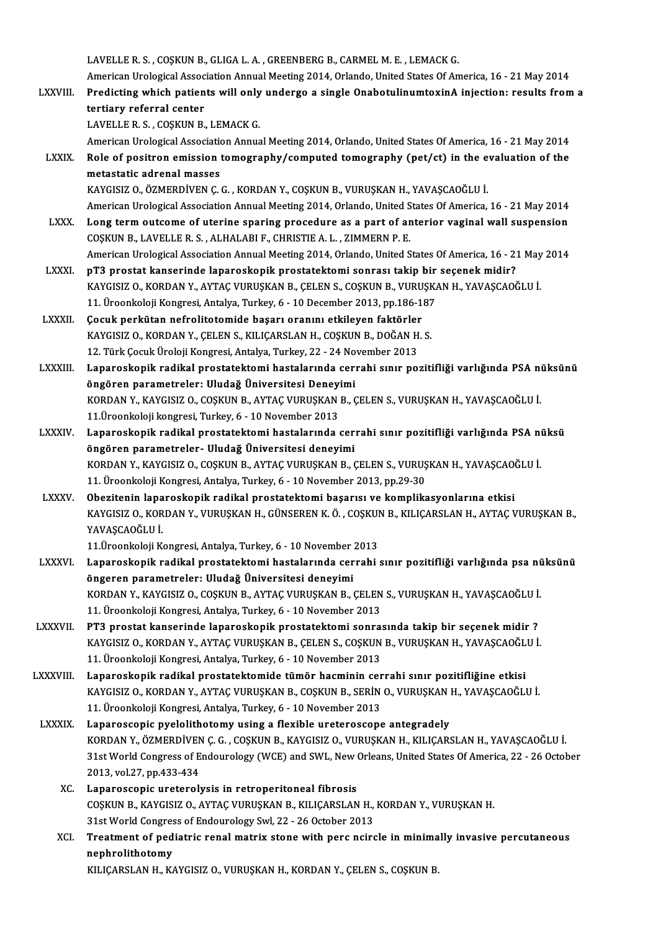LAVELLE R.S., COŞKUN B., GLIGA L.A., GREENBERG B., CARMEL M.E., LEMACK G.

LAVELLE R. S. , COȘKUN B., GLIGA L. A. , GREENBERG B., CARMEL M. E. , LEMACK G.<br>American Urological Association Annual Meeting 2014, Orlando, United States Of America, 16 - 21 May 2014<br>Predisting which potients will only u LAVELLE R. S. , COSKUN B., GLIGA L. A. , GREENBERG B., CARMEL M. E. , LEMACK G.<br>American Urological Association Annual Meeting 2014, Orlando, United States Of America, 16 - 21 May 2014<br>LXXVIII. Predicting which patients wi American Urological Assoc<br>Predicting which patien<br>tertiary referral center<br>LAVELLE B.S. COSKUN B. Predicting which patients will only<br>tertiary referral center<br>LAVELLE R. S. , COŞKUN B., LEMACK G.<br>American Urelegical Association Annus

tertiary referral center<br>LAVELLE R. S. , COŞKUN B., LEMACK G.<br>American Urological Association Annual Meeting 2014, Orlando, United States Of America, 16 - 21 May 2014

- LAVELLE R. S. , COSKUN B., LEMACK G.<br>American Urological Association Annual Meeting 2014, Orlando, United States Of America, 16 21 May 2014<br>LXXIX. Role of positron emission tomography/computed tomography (pet/ct) in the American Urological Association<br>Role of positron emission<br>metastatic adrenal masses<br>KAVCISIZ O ÖZMEPDİVEN C Role of positron emission tomography/computed tomography (pet/ct) in the e<br>metastatic adrenal masses<br>KAYGISIZ O., ÖZMERDİVEN Ç.G. , KORDAN Y., COŞKUN B., VURUŞKAN H., YAVAŞCAOĞLU İ.<br>American Uralagical Association Annual M
	-

metastatic adrenal masses<br>KAYGISIZ O., ÖZMERDİVEN Ç. G. , KORDAN Y., COŞKUN B., VURUŞKAN H., YAVAŞCAOĞLU İ.<br>American Urological Association Annual Meeting 2014, Orlando, United States Of America, 16 - 21 May 2014<br>Lang tarm KAYGISIZ O., ÖZMERDİVEN Ç. G., KORDAN Y., COŞKUN B., VURUŞKAN H., YAVAŞCAOĞLU İ.<br>American Urological Association Annual Meeting 2014, Orlando, United States Of America, 16 - 21 May 2014<br>LXXX. Long term outcome of uterine s

- American Urological Association Annual Meeting 2014, Orlando, United S<br>Long term outcome of uterine sparing procedure as a part of are<br>COSKUN B., LAVELLER.S., ALHALABI F., CHRISTIE A.L., ZIMMERN P. E.<br>American Urological A Long term outcome of uterine sparing procedure as a part of anterior vaginal wall suspension<br>COSKUN B., LAVELLE R. S. , ALHALABI F., CHRISTIE A. L. , ZIMMERN P. E.<br>American Urological Association Annual Meeting 2014, Orlan COSKUN B., LAVELLE R. S. , ALHALABI F., CHRISTIE A. L. , ZIMMERN P. E.<br>American Urological Association Annual Meeting 2014, Orlando, United States Of America, 16 - 2:<br>LXXXI. pT3 prostat kanserinde laparoskopik prostatektom
- American Urological Association Annual Meeting 2014, Orlando, United States Of America, 16 21 May<br>pT3 prostat kanserinde laparoskopik prostatektomi sonrası takip bir seçenek midir?<br>KAYGISIZ O., KORDAN Y., AYTAÇ VURUŞKAN pT3 prostat kanserinde laparoskopik prostatektomi sonrası takip bir<br>KAYGISIZ O., KORDAN Y., AYTAÇ VURUŞKAN B., ÇELEN S., COŞKUN B., VURUŞK.<br>11. Üroonkoloji Kongresi, Antalya, Turkey, 6 - 10 December 2013, pp.186-187<br>Cosuk KAYGISIZ 0., KORDAN Y., AYTAÇ VURUŞKAN B., ÇELEN S., COŞKUN B., VURU<br>11. Üroonkoloji Kongresi, Antalya, Turkey, 6 - 10 December 2013, pp.186-1<br>LXXXII. Cocuk perkütan nefrolitotomide başarı oranını etkileyen faktörler<br>KAYCI
- 11. Üroonkoloji Kongresi, Antalya, Turkey, 6 10 December 2013, pp.186-187<br>**Çocuk perkütan nefrolitotomide başarı oranını etkileyen faktörler**<br>KAYGISIZ O., KORDAN Y., ÇELEN S., KILIÇARSLAN H., COŞKUN B., DOĞAN H. S.<br>12. T Cocuk perkütan nefrolitotomide başarı oranını etkileyen faktörler
- KAYGISIZ O., KORDAN Y., ÇELEN S., KILIÇARSLAN H., COŞKUN B., DOĞAN H. S.<br>12. Türk Çocuk Üroloji Kongresi, Antalya, Turkey, 22 24 November 2013<br>LXXXIII. Laparoskopik radikal prostatektomi hastalarında cerrahi sınır po 12. Türk Çocuk Üroloji Kongresi, Antalya, Turkey, 22 - 24 No<br>Laparoskopik radikal prostatektomi hastalarında ceri<br>öngören parametreler: Uludağ Üniversitesi Deneyimi<br>KOPDAN V. KAVCISIZ O. COSKUN P. AYTAC VUPUSKAN P. 6 Laparoskopik radikal prostatektomi hastalarında cerrahi sınır pozitifliği varlığında PSA nü<br>öngören parametreler: Uludağ Üniversitesi Deneyimi<br>KORDAN Y., KAYGISIZ O., COŞKUN B., AYTAÇ VURUŞKAN B., ÇELEN S., VURUŞKAN H., YA öngören parametreler: Uludağ Üniversitesi Deneyimi<br>KORDAN Y., KAYGISIZ O., COŞKUN B., AYTAÇ VURUŞKAN B., ÇELEN S., VURUŞKAN H., YAVAŞCAOĞLU İ.<br>11.Üroonkoloji kongresi, Turkey, 6 - 10 November 2013 KORDAN Y., KAYGISIZ O., COŞKUN B., AYTAÇ VURUŞKAN B., ÇELEN S., VURUŞKAN H., YAVAŞCAOĞLU İ.<br>11.Üroonkoloji kongresi, Turkey, 6 - 10 November 2013<br>LXXXIV. Laparoskopik radikal prostatektomi hastalarında cerrahi sınır po
- 11.Üroonkoloji kongresi, Turkey, 6 10 November 2013<br>Laparoskopik radikal prostatektomi hastalarında cer<br>öngören parametreler- Uludağ Üniversitesi deneyimi<br>KOPDAN V. KAVCISIZ O. COSKUN P. AYTAC VUPUSKAN P. 6 Laparoskopik radikal prostatektomi hastalarında cerrahi sınır pozitifliği varlığında PSA nü<br>öngören parametreler- Uludağ Üniversitesi deneyimi<br>KORDAN Y., KAYGISIZ O., COŞKUN B., AYTAÇ VURUŞKAN B., ÇELEN S., VURUŞKAN H., YA öngören parametreler- Uludağ Üniversitesi deneyimi<br>KORDAN Y., KAYGISIZ O., COŞKUN B., AYTAÇ VURUŞKAN B., ÇELEN S., VURUŞ<br>11. Üroonkoloji Kongresi, Antalya, Turkey, 6 - 10 November 2013, pp.29-30<br>Oberitenin kanancekanik rad KORDAN Y., KAYGISIZ O., COŞKUN B., AYTAÇ VURUŞKAN B., ÇELEN S., VURUŞKAN H., YAVAŞCAO<br>11. Üroonkoloji Kongresi, Antalya, Turkey, 6 - 10 November 2013, pp.29-30<br>LXXXV. Obezitenin laparoskopik radikal prostatektomi başar
- 11. Üroonkoloji Kongresi, Antalya, Turkey, 6 10 November 2013, pp.29-30<br>Obezitenin laparoskopik radikal prostatektomi başarısı ve komplikasyonlarına etkisi<br>KAYGISIZ O., KORDAN Y., VURUŞKAN H., GÜNSEREN K. Ö. , COŞKUN B., Obezitenin lapa<br>KAYGISIZ O., KOR<br>YAVAŞCAOĞLU İ.<br>11 Üreenkeleji K KAYGISIZ O., KORDAN Y., VURUŞKAN H., GÜNSEREN K. Ö. , COŞKUI<br>YAVAŞCAOĞLU İ.<br>11.Üroonkoloji Kongresi, Antalya, Turkey, 6 - 10 November 2013<br>Lapanoskapik radikal prostatektami bastelarında sarrabi

- YAVAŞCAOĞLU İ.<br>11.Üroonkoloji Kongresi, Antalya, Turkey, 6 10 November 2013<br>LXXXVI. Laparoskopik radikal prostatektomi hastalarında cerrahi sınır pozitifliği varlığında psa nüksünü<br>ÖRSSERAR RORAMATELERI İlludeğ Ünive 11.Üroonkoloji Kongresi, Antalya, Turkey, 6 - 10 November<br>Laparoskopik radikal prostatektomi hastalarında cer<br>öngeren parametreler: Uludağ Üniversitesi deneyimi<br>KOPDAN V. KAVCISIZ O. COSKUN P. AYTAC VURUSKAN P. Laparoskopik radikal prostatektomi hastalarında cerrahi sınır pozitifliği varlığında psa nü<br>öngeren parametreler: Uludağ Üniversitesi deneyimi<br>KORDAN Y., KAYGISIZ O., COŞKUN B., AYTAÇ VURUŞKAN B., ÇELEN S., VURUŞKAN H., YA öngeren parametreler: Uludağ Üniversitesi deneyimi<br>KORDAN Y., KAYGISIZ O., COŞKUN B., AYTAÇ VURUŞKAN B., ÇELEN S., VURUŞKAN H., YAVAŞCAOĞLU İ.<br>11. Üroonkoloji Kongresi, Antalya, Turkey, 6 - 10 November 2013
- LXXXVII. PT3 prostat kanserinde laparoskopik prostatektomi sonrasında takip bir seçenek midir ? 11. Üroonkoloji Kongresi, Antalya, Turkey, 6 - 10 November 2013<br>PT3 prostat kanserinde laparoskopik prostatektomi sonrasında takip bir seçenek midir ?<br>KAYGISIZ O., KORDAN Y., AYTAÇ VURUŞKAN B., ÇELEN S., COŞKUN B., VURUŞKA 11. Üroonkoloji Kongresi, Antalya, Turkey, 6 - 10 November 2013<br>Laparoskopik radikal prostatektomide tümör hacminin cerrahi sınır pozitifliğine etkisi KAYGISIZ O., KORDAN Y., AYTAÇ VURUŞKAN B., ÇELEN S., COŞKUN B., VURUŞKAN H., YAVAŞCAOĞL<br>11. Üroonkoloji Kongresi, Antalya, Turkey, 6 - 10 November 2013<br>LXXXVIII. Laparoskopik radikal prostatektomide tümör hacminin cerr
- KAYGISIZ O., KORDAN Y., AYTAÇ VURUŞKAN B., COŞKUN B., SERİN O., VURUŞKAN H., YAVAŞCAOĞLU İ. 11.ÜroonkolojiKongresi,Antalya,Turkey,6 -10November 2013
- LXXXIX. Laparoscopic pyelolithotomy using a flexible ureteroscope antegradely 11. Üroonkoloji Kongresi, Antalya, Turkey, 6 - 10 November 2013<br>Laparoscopic pyelolithotomy using a flexible ureteroscope antegradely<br>KORDAN Y., ÖZMERDİVEN Ç. G. , COŞKUN B., KAYGISIZ O., VURUŞKAN H., KILIÇARSLAN H., YAVAŞ 31st World Congress of Endourology (WCE) and SWL, New Orleans, United States Of America, 22 - 26 October<br>2013. vol.27. pp.433-434 KORDAN Y., ÖZMERDİVEN<br>31st World Congress of E<br>2013, vol.27, pp.433-434<br>Lapanossanis unstanalı
	- XC. Laparoscopic ureterolysis in retroperitoneal fibrosis 2013, vol.27, pp.433-434<br>Laparoscopic ureterolysis in retroperitoneal fibrosis<br>COŞKUN B., KAYGISIZ O., AYTAÇ VURUŞKAN B., KILIÇARSLAN H., KORDAN Y., VURUŞKAN H.<br>21st World Congress of Endourelogy Syl. 22, 26 Ostober 2012 Laparoscopic ureterolysis in retroperitoneal fibrosis<br>COŞKUN B., KAYGISIZ O., AYTAÇ VURUŞKAN B., KILIÇARSLAN H.,<br>31st World Congress of Endourology Swl, 22 - 26 October 2013<br>Treatment of nediatrie renal metriy stane with n 31st World Congress of Endourology Swl, 22 - 26 October 2013
	- XCI. Treatment of pediatric renal matrix stone with perc ncircle in minimally invasive percutaneous<br>nephrolithotomy KILIÇARSLAN H., KAYGISIZ O., VURUŞKAN H., KORDAN Y., ÇELEN S., COŞKUN B.